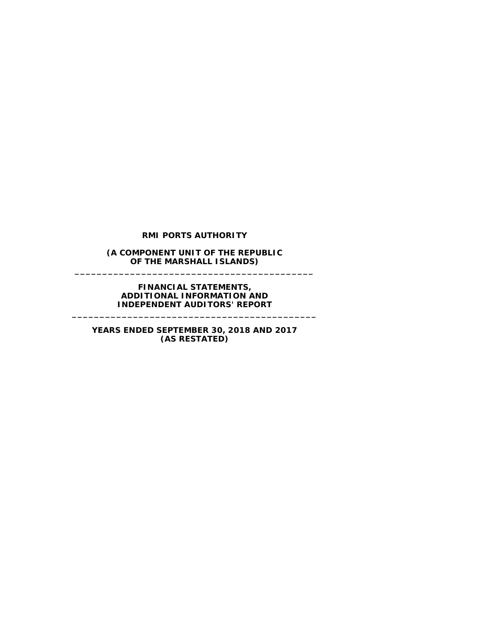#### **RMI PORTS AUTHORITY**

**(A COMPONENT UNIT OF THE REPUBLIC OF THE MARSHALL ISLANDS) \_\_\_\_\_\_\_\_\_\_\_\_\_\_\_\_\_\_\_\_\_\_\_\_\_\_\_\_\_\_\_\_\_\_\_\_\_\_\_\_\_\_\_**

#### **FINANCIAL STATEMENTS, ADDITIONAL INFORMATION AND INDEPENDENT AUDITORS' REPORT**

**\_\_\_\_\_\_\_\_\_\_\_\_\_\_\_\_\_\_\_\_\_\_\_\_\_\_\_\_\_\_\_\_\_\_\_\_\_\_\_\_\_\_\_\_**

**YEARS ENDED SEPTEMBER 30, 2018 AND 2017 (AS RESTATED)**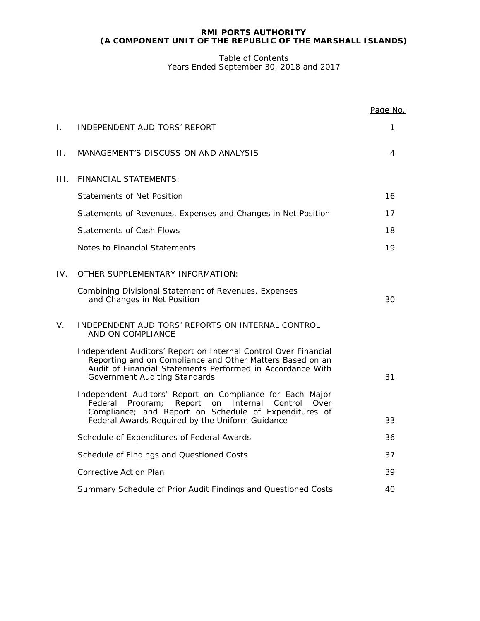#### Table of Contents Years Ended September 30, 2018 and 2017

|          |                                                                                                                                                                                                                                       | Page No. |
|----------|---------------------------------------------------------------------------------------------------------------------------------------------------------------------------------------------------------------------------------------|----------|
| Τ.       | INDEPENDENT AUDITORS' REPORT                                                                                                                                                                                                          | 1        |
| П.       | MANAGEMENT'S DISCUSSION AND ANALYSIS                                                                                                                                                                                                  | 4        |
| HL.      | <b>FINANCIAL STATEMENTS:</b>                                                                                                                                                                                                          |          |
|          | <b>Statements of Net Position</b>                                                                                                                                                                                                     | 16       |
|          | Statements of Revenues, Expenses and Changes in Net Position                                                                                                                                                                          | 17       |
|          | <b>Statements of Cash Flows</b>                                                                                                                                                                                                       | 18       |
|          | Notes to Financial Statements                                                                                                                                                                                                         | 19       |
| $IV_{-}$ | OTHER SUPPLEMENTARY INFORMATION:                                                                                                                                                                                                      |          |
|          | Combining Divisional Statement of Revenues, Expenses<br>and Changes in Net Position                                                                                                                                                   | 30       |
| V.       | INDEPENDENT AUDITORS' REPORTS ON INTERNAL CONTROL<br>AND ON COMPLIANCE                                                                                                                                                                |          |
|          | Independent Auditors' Report on Internal Control Over Financial<br>Reporting and on Compliance and Other Matters Based on an<br>Audit of Financial Statements Performed in Accordance With<br><b>Government Auditing Standards</b>    | 31       |
|          | Independent Auditors' Report on Compliance for Each Major<br>Federal<br>Program;<br>Report on<br>Internal Control<br>Over<br>Compliance; and Report on Schedule of Expenditures of<br>Federal Awards Required by the Uniform Guidance | 33       |
|          | Schedule of Expenditures of Federal Awards                                                                                                                                                                                            | 36       |
|          | Schedule of Findings and Questioned Costs                                                                                                                                                                                             | 37       |
|          | <b>Corrective Action Plan</b>                                                                                                                                                                                                         | 39       |
|          | Summary Schedule of Prior Audit Findings and Questioned Costs                                                                                                                                                                         | 40       |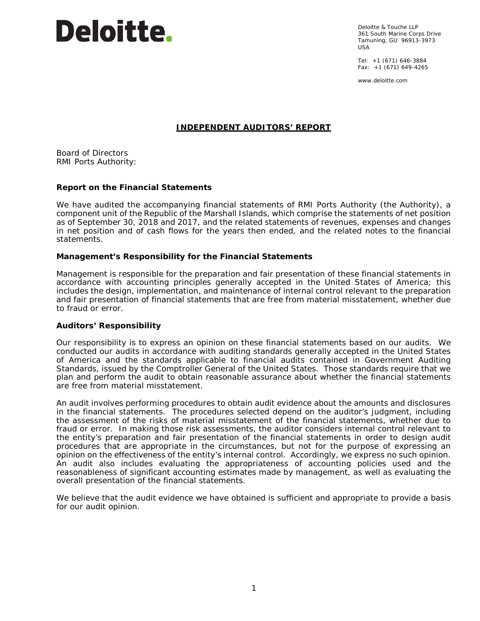Deloitte & Touche LLP 361 South Marine Corps Drive Tamuning, GU 96913-3973 USA

Tel: +1 (671) 646-3884 Fax: +1 (671) 649-4265

www.deloitte.com

#### **INDEPENDENT AUDITORS' REPORT**

Board of Directors RMI Ports Authority:

#### **Report on the Financial Statements**

We have audited the accompanying financial statements of RMI Ports Authority (the Authority), a component unit of the Republic of the Marshall Islands, which comprise the statements of net position as of September 30, 2018 and 2017, and the related statements of revenues, expenses and changes in net position and of cash flows for the years then ended, and the related notes to the financial statements.

#### **Management's Responsibility for the Financial Statements**

Management is responsible for the preparation and fair presentation of these financial statements in accordance with accounting principles generally accepted in the United States of America; this includes the design, implementation, and maintenance of internal control relevant to the preparation and fair presentation of financial statements that are free from material misstatement, whether due to fraud or error.

#### **Auditors' Responsibility**

Our responsibility is to express an opinion on these financial statements based on our audits. We conducted our audits in accordance with auditing standards generally accepted in the United States of America and the standards applicable to financial audits contained in *Government Auditing Standards*, issued by the Comptroller General of the United States. Those standards require that we plan and perform the audit to obtain reasonable assurance about whether the financial statements are free from material misstatement.

An audit involves performing procedures to obtain audit evidence about the amounts and disclosures in the financial statements. The procedures selected depend on the auditor's judgment, including the assessment of the risks of material misstatement of the financial statements, whether due to fraud or error. In making those risk assessments, the auditor considers internal control relevant to the entity's preparation and fair presentation of the financial statements in order to design audit procedures that are appropriate in the circumstances, but not for the purpose of expressing an opinion on the effectiveness of the entity's internal control. Accordingly, we express no such opinion. An audit also includes evaluating the appropriateness of accounting policies used and the reasonableness of significant accounting estimates made by management, as well as evaluating the overall presentation of the financial statements.

We believe that the audit evidence we have obtained is sufficient and appropriate to provide a basis for our audit opinion.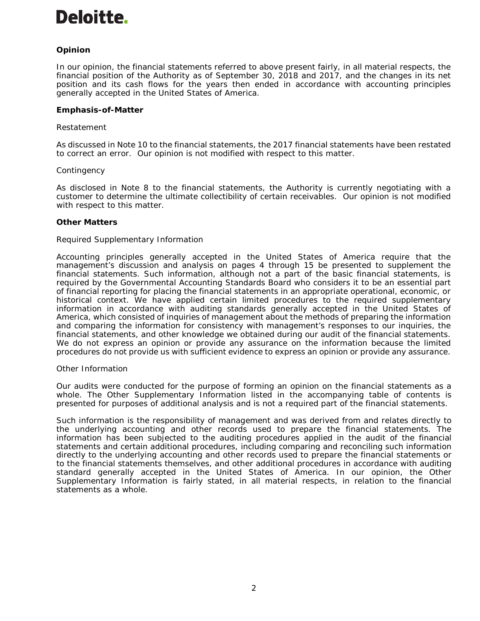#### **Opinion**

In our opinion, the financial statements referred to above present fairly, in all material respects, the financial position of the Authority as of September 30, 2018 and 2017, and the changes in its net position and its cash flows for the years then ended in accordance with accounting principles generally accepted in the United States of America.

#### *Emphasis-of-Matter*

#### *Restatement*

As discussed in Note 10 to the financial statements, the 2017 financial statements have been restated to correct an error. Our opinion is not modified with respect to this matter.

#### *Contingency*

As disclosed in Note 8 to the financial statements, the Authority is currently negotiating with a customer to determine the ultimate collectibility of certain receivables. Our opinion is not modified with respect to this matter.

#### **Other Matters**

#### *Required Supplementary Information*

Accounting principles generally accepted in the United States of America require that the management's discussion and analysis on pages 4 through 15 be presented to supplement the financial statements. Such information, although not a part of the basic financial statements, is required by the Governmental Accounting Standards Board who considers it to be an essential part of financial reporting for placing the financial statements in an appropriate operational, economic, or historical context. We have applied certain limited procedures to the required supplementary information in accordance with auditing standards generally accepted in the United States of America, which consisted of inquiries of management about the methods of preparing the information and comparing the information for consistency with management's responses to our inquiries, the financial statements, and other knowledge we obtained during our audit of the financial statements. We do not express an opinion or provide any assurance on the information because the limited procedures do not provide us with sufficient evidence to express an opinion or provide any assurance.

#### *Other Information*

Our audits were conducted for the purpose of forming an opinion on the financial statements as a whole. The Other Supplementary Information listed in the accompanying table of contents is presented for purposes of additional analysis and is not a required part of the financial statements.

Such information is the responsibility of management and was derived from and relates directly to the underlying accounting and other records used to prepare the financial statements. The information has been subjected to the auditing procedures applied in the audit of the financial statements and certain additional procedures, including comparing and reconciling such information directly to the underlying accounting and other records used to prepare the financial statements or to the financial statements themselves, and other additional procedures in accordance with auditing standard generally accepted in the United States of America. In our opinion, the Other Supplementary Information is fairly stated, in all material respects, in relation to the financial statements as a whole.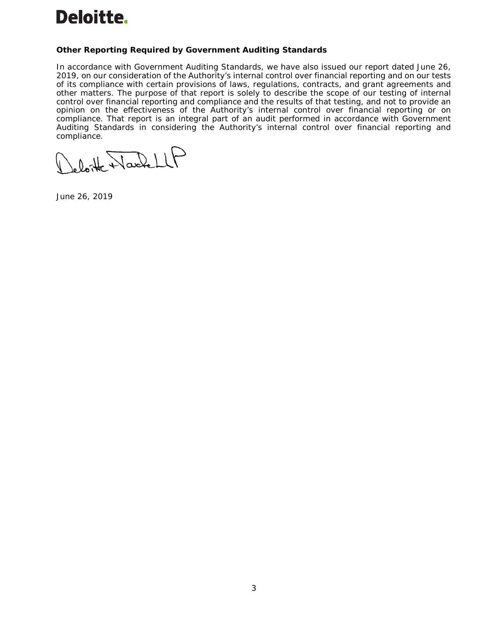#### **Other Reporting Required by** *Government Auditing Standards*

In accordance with *Government Auditing Standards*, we have also issued our report dated June 26, 2019, on our consideration of the Authority's internal control over financial reporting and on our tests of its compliance with certain provisions of laws, regulations, contracts, and grant agreements and other matters. The purpose of that report is solely to describe the scope of our testing of internal control over financial reporting and compliance and the results of that testing, and not to provide an opinion on the effectiveness of the Authority's internal control over financial reporting or on compliance. That report is an integral part of an audit performed in accordance with *Government Auditing Standards* in considering the Authority's internal control over financial reporting and compliance.

eloitte Nachell

June 26, 2019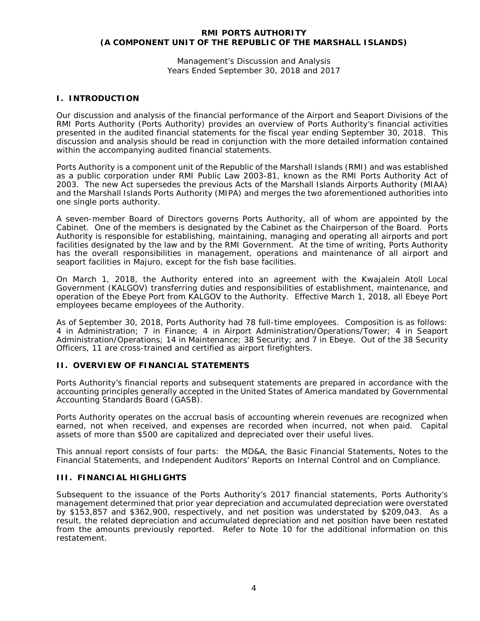Management's Discussion and Analysis Years Ended September 30, 2018 and 2017

#### **I. INTRODUCTION**

Our discussion and analysis of the financial performance of the Airport and Seaport Divisions of the RMI Ports Authority (Ports Authority) provides an overview of Ports Authority's financial activities presented in the audited financial statements for the fiscal year ending September 30, 2018. This discussion and analysis should be read in conjunction with the more detailed information contained within the accompanying audited financial statements.

Ports Authority is a component unit of the Republic of the Marshall Islands (RMI) and was established as a public corporation under RMI Public Law 2003-81, known as the RMI Ports Authority Act of 2003. The new Act supersedes the previous Acts of the Marshall Islands Airports Authority (MIAA) and the Marshall Islands Ports Authority (MIPA) and merges the two aforementioned authorities into one single ports authority.

A seven-member Board of Directors governs Ports Authority, all of whom are appointed by the Cabinet. One of the members is designated by the Cabinet as the Chairperson of the Board. Ports Authority is responsible for establishing, maintaining, managing and operating all airports and port facilities designated by the law and by the RMI Government. At the time of writing, Ports Authority has the overall responsibilities in management, operations and maintenance of all airport and seaport facilities in Majuro, except for the fish base facilities.

On March 1, 2018, the Authority entered into an agreement with the Kwajalein Atoll Local Government (KALGOV) transferring duties and responsibilities of establishment, maintenance, and operation of the Ebeye Port from KALGOV to the Authority. Effective March 1, 2018, all Ebeye Port employees became employees of the Authority.

As of September 30, 2018, Ports Authority had 78 full-time employees. Composition is as follows: 4 in Administration; 7 in Finance; 4 in Airport Administration/Operations/Tower; 4 in Seaport Administration/Operations; 14 in Maintenance; 38 Security; and 7 in Ebeye. Out of the 38 Security Officers, 11 are cross-trained and certified as airport firefighters.

#### **II. OVERVIEW OF FINANCIAL STATEMENTS**

Ports Authority's financial reports and subsequent statements are prepared in accordance with the accounting principles generally accepted in the United States of America mandated by Governmental Accounting Standards Board (GASB).

Ports Authority operates on the accrual basis of accounting wherein revenues are recognized when earned, not when received, and expenses are recorded when incurred, not when paid. Capital assets of more than \$500 are capitalized and depreciated over their useful lives.

This annual report consists of four parts: the MD&A, the Basic Financial Statements, Notes to the Financial Statements, and Independent Auditors' Reports on Internal Control and on Compliance.

#### **III. FINANCIAL HIGHLIGHTS**

Subsequent to the issuance of the Ports Authority's 2017 financial statements, Ports Authority's management determined that prior year depreciation and accumulated depreciation were overstated by \$153,857 and \$362,900, respectively, and net position was understated by \$209,043. As a result, the related depreciation and accumulated depreciation and net position have been restated from the amounts previously reported. Refer to Note 10 for the additional information on this restatement.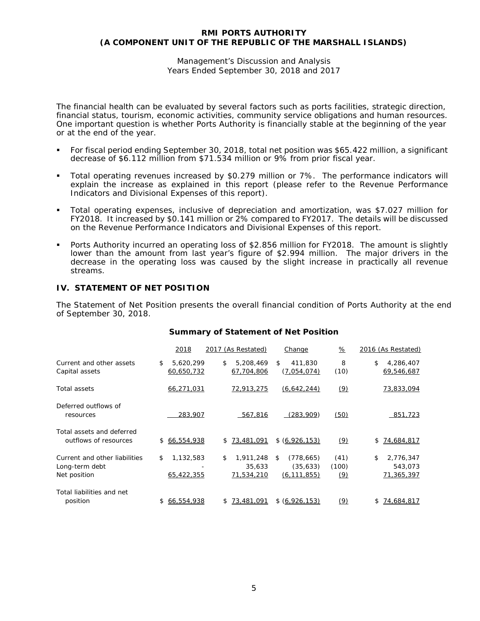#### Management's Discussion and Analysis Years Ended September 30, 2018 and 2017

The financial health can be evaluated by several factors such as ports facilities, strategic direction, financial status, tourism, economic activities, community service obligations and human resources. One important question is whether Ports Authority is financially stable at the beginning of the year or at the end of the year.

- For fiscal period ending September 30, 2018, total net position was \$65.422 million, a significant decrease of \$6.112 million from \$71.534 million or 9% from prior fiscal year.
- Total operating revenues increased by \$0.279 million or 7%. The performance indicators will explain the increase as explained in this report (please refer to the Revenue Performance Indicators and Divisional Expenses of this report).
- Total operating expenses, inclusive of depreciation and amortization, was \$7.027 million for FY2018. It increased by \$0.141 million or 2% compared to FY2017. The details will be discussed on the Revenue Performance Indicators and Divisional Expenses of this report.
- Ports Authority incurred an operating loss of \$2.856 million for FY2018. The amount is slightly lower than the amount from last year's figure of \$2.994 million. The major drivers in the decrease in the operating loss was caused by the slight increase in practically all revenue streams.

#### **IV. STATEMENT OF NET POSITION**

The Statement of Net Position presents the overall financial condition of Ports Authority at the end of September 30, 2018.

|                                                                 | 2018                          |    | 2017 (As Restated)                | Change                                        | $\frac{9}{6}$        | 2016 (As Restated)                       |
|-----------------------------------------------------------------|-------------------------------|----|-----------------------------------|-----------------------------------------------|----------------------|------------------------------------------|
| Current and other assets<br>Capital assets                      | \$<br>5,620,299<br>60,650,732 | \$ | 5,208,469<br>67,704,806           | \$<br>411,830<br>(7,054,074)                  | 8<br>(10)            | \$<br>4,286,407<br>69,546,687            |
| Total assets                                                    | 66,271,031                    |    | 72,913,275                        | (6,642,244)                                   | (9)                  | 73,833,094                               |
| Deferred outflows of<br>resources                               | 283,907                       |    | 567,816                           | (283,909)                                     | (50)                 | 851,723                                  |
| Total assets and deferred<br>outflows of resources              | \$<br>66,554,938              | \$ | 73,481,091                        | \$ (6.926.153)                                | (9)                  | 74.684.817<br>\$                         |
| Current and other liabilities<br>Long-term debt<br>Net position | \$<br>1,132,583<br>65,422,355 | \$ | 1,911,248<br>35,633<br>71,534,210 | \$<br>(778, 665)<br>(35,633)<br>(6, 111, 855) | (41)<br>(100)<br>(9) | \$<br>2,776,347<br>543,073<br>71,365,397 |
| Total liabilities and net<br>position                           | \$<br>66,554,938              | S. | 73.481.091                        | \$ (6.926.153)                                | (9)                  | 74.684.817<br>\$                         |

#### **Summary of Statement of Net Position**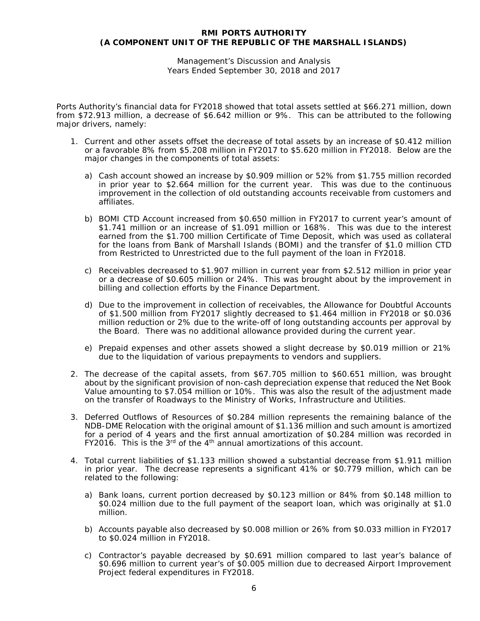Management's Discussion and Analysis Years Ended September 30, 2018 and 2017

Ports Authority's financial data for FY2018 showed that total assets settled at \$66.271 million, down from \$72.913 million, a decrease of \$6.642 million or 9%. This can be attributed to the following major drivers, namely:

- 1. Current and other assets offset the decrease of total assets by an increase of \$0.412 million or a favorable 8% from \$5.208 million in FY2017 to \$5.620 million in FY2018. Below are the major changes in the components of total assets:
	- a) Cash account showed an increase by \$0.909 million or 52% from \$1.755 million recorded in prior year to \$2.664 million for the current year. This was due to the continuous improvement in the collection of old outstanding accounts receivable from customers and affiliates.
	- b) BOMI CTD Account increased from \$0.650 million in FY2017 to current year's amount of \$1.741 million or an increase of \$1.091 million or 168%. This was due to the interest earned from the \$1.700 million Certificate of Time Deposit, which was used as collateral for the loans from Bank of Marshall Islands (BOMI) and the transfer of \$1.0 million CTD from Restricted to Unrestricted due to the full payment of the loan in FY2018.
	- c) Receivables decreased to \$1.907 million in current year from \$2.512 million in prior year or a decrease of \$0.605 million or 24%. This was brought about by the improvement in billing and collection efforts by the Finance Department.
	- d) Due to the improvement in collection of receivables, the Allowance for Doubtful Accounts of \$1.500 million from FY2017 slightly decreased to \$1.464 million in FY2018 or \$0.036 million reduction or 2% due to the write-off of long outstanding accounts per approval by the Board. There was no additional allowance provided during the current year.
	- e) Prepaid expenses and other assets showed a slight decrease by \$0.019 million or 21% due to the liquidation of various prepayments to vendors and suppliers.
- 2. The decrease of the capital assets, from \$67.705 million to \$60.651 million, was brought about by the significant provision of non-cash depreciation expense that reduced the Net Book Value amounting to \$7.054 million or 10%. This was also the result of the adjustment made on the transfer of Roadways to the Ministry of Works, Infrastructure and Utilities.
- 3. Deferred Outflows of Resources of \$0.284 million represents the remaining balance of the NDB-DME Relocation with the original amount of \$1.136 million and such amount is amortized for a period of 4 years and the first annual amortization of \$0.284 million was recorded in FY2016. This is the  $3<sup>rd</sup>$  of the  $4<sup>th</sup>$  annual amortizations of this account.
- 4. Total current liabilities of \$1.133 million showed a substantial decrease from \$1.911 million in prior year. The decrease represents a significant 41% or \$0.779 million, which can be related to the following:
	- a) Bank loans, current portion decreased by \$0.123 million or 84% from \$0.148 million to \$0.024 million due to the full payment of the seaport loan, which was originally at \$1.0 million.
	- b) Accounts payable also decreased by \$0.008 million or 26% from \$0.033 million in FY2017 to \$0.024 million in FY2018.
	- c) Contractor's payable decreased by \$0.691 million compared to last year's balance of \$0.696 million to current year's of \$0.005 million due to decreased Airport Improvement Project federal expenditures in FY2018.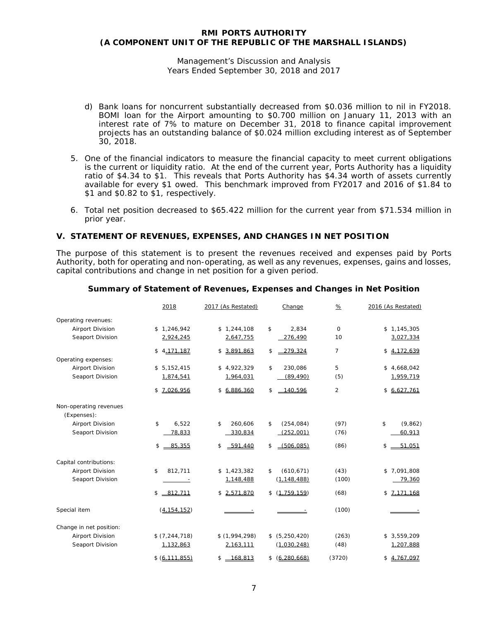#### Management's Discussion and Analysis Years Ended September 30, 2018 and 2017

- d) Bank loans for noncurrent substantially decreased from \$0.036 million to nil in FY2018. BOMI loan for the Airport amounting to \$0.700 million on January 11, 2013 with an interest rate of 7% to mature on December 31, 2018 to finance capital improvement projects has an outstanding balance of \$0.024 million excluding interest as of September 30, 2018.
- 5. One of the financial indicators to measure the financial capacity to meet current obligations is the current or liquidity ratio. At the end of the current year, Ports Authority has a liquidity ratio of \$4.34 to \$1. This reveals that Ports Authority has \$4.34 worth of assets currently available for every \$1 owed. This benchmark improved from FY2017 and 2016 of \$1.84 to \$1 and \$0.82 to \$1, respectively.
- 6. Total net position decreased to \$65.422 million for the current year from \$71.534 million in prior year.

#### **V. STATEMENT OF REVENUES, EXPENSES, AND CHANGES IN NET POSITION**

The purpose of this statement is to present the revenues received and expenses paid by Ports Authority, both for operating and non-operating, as well as any revenues, expenses, gains and losses, capital contributions and change in net position for a given period.

|                                       | 2018             | 2017 (As Restated) | Change              | $\frac{9}{6}$  | 2016 (As Restated) |
|---------------------------------------|------------------|--------------------|---------------------|----------------|--------------------|
| Operating revenues:                   |                  |                    |                     |                |                    |
| Airport Division                      | \$1,246,942      | \$1,244,108        | \$<br>2,834         | $\mathbf 0$    | \$1,145,305        |
| Seaport Division                      | 2,924,245        | 2,647,755          | 276,490             | 10             | 3,027,334          |
|                                       | \$4,171,187      | \$3,891,863        | \$<br>$-279,324$    | $\overline{7}$ | \$4,172,639        |
| Operating expenses:                   |                  |                    |                     |                |                    |
| Airport Division                      | \$5,152,415      | \$4,922,329        | \$<br>230.086       | 5              | 4,668,042<br>\$    |
| Seaport Division                      | 1,874,541        | 1,964,031          | (89, 490)           | (5)            | 1,959,719          |
|                                       | \$7,026,956      | \$<br>6,886,360    | \$<br>140,596       | $\overline{2}$ | 6,627,761<br>\$    |
| Non-operating revenues<br>(Expenses): |                  |                    |                     |                |                    |
| Airport Division                      | \$<br>6,522      | \$<br>260,606      | \$<br>(254, 084)    | (97)           | \$<br>(9,862)      |
| Seaport Division                      | 78,833           | 330,834            | (252,001)           | (76)           | 60,913             |
|                                       | \$<br>85,355     | \$<br>591.440      | \$<br>(506.085)     | (86)           | \$<br>51,051       |
| Capital contributions:                |                  |                    |                     |                |                    |
| Airport Division                      | 812,711<br>\$    | \$1,423,382        | \$<br>(610, 671)    | (43)           | 7,091,808<br>\$    |
| Seaport Division                      |                  | 1,148,488          | (1, 148, 488)       | (100)          | 79,360             |
|                                       | \$<br>$-812,711$ | 2,571,870<br>\$    | (1, 759, 159)<br>\$ | (68)           | \$<br>7,171,168    |
| Special item                          | (4, 154, 152)    |                    |                     | (100)          |                    |
| Change in net position:               |                  |                    |                     |                |                    |
| Airport Division                      | \$(7, 244, 718)  | \$(1,994,298)      | \$ (5,250,420)      | (263)          | \$3,559,209        |
| Seaport Division                      | 1,132,863        | 2,163,111          | (1,030,248)         | (48)           | 1,207,888          |
|                                       | $$$ (6,111,855)  | 168,813<br>\$      | \$ (6, 280, 668)    | (3720)         | 4.767.097<br>\$    |

#### **Summary of Statement of Revenues, Expenses and Changes in Net Position**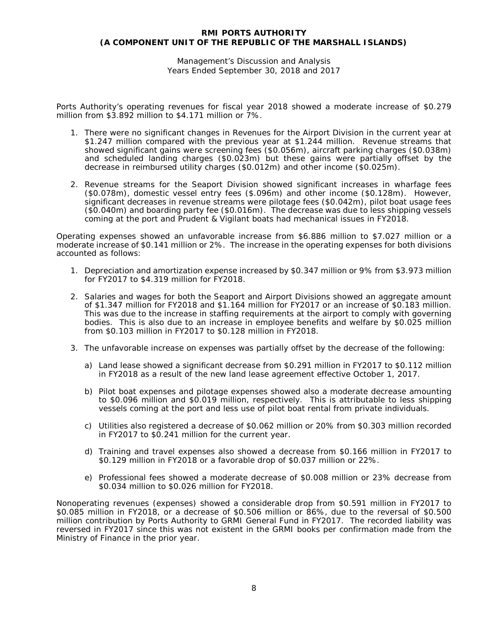Management's Discussion and Analysis Years Ended September 30, 2018 and 2017

Ports Authority's operating revenues for fiscal year 2018 showed a moderate increase of \$0.279 million from \$3.892 million to \$4.171 million or 7%.

- 1. There were no significant changes in Revenues for the Airport Division in the current year at \$1.247 million compared with the previous year at \$1.244 million. Revenue streams that showed significant gains were screening fees (\$0.056m), aircraft parking charges (\$0.038m) and scheduled landing charges (\$0.023m) but these gains were partially offset by the decrease in reimbursed utility charges (\$0.012m) and other income (\$0.025m).
- 2. Revenue streams for the Seaport Division showed significant increases in wharfage fees (\$0.078m), domestic vessel entry fees (\$.096m) and other income (\$0.128m). However, significant decreases in revenue streams were pilotage fees (\$0.042m), pilot boat usage fees (\$0.040m) and boarding party fee (\$0.016m). The decrease was due to less shipping vessels coming at the port and Prudent & Vigilant boats had mechanical issues in FY2018.

Operating expenses showed an unfavorable increase from \$6.886 million to \$7.027 million or a moderate increase of \$0.141 million or 2%. The increase in the operating expenses for both divisions accounted as follows:

- 1. Depreciation and amortization expense increased by \$0.347 million or 9% from \$3.973 million for FY2017 to \$4.319 million for FY2018.
- 2. Salaries and wages for both the Seaport and Airport Divisions showed an aggregate amount of \$1.347 million for FY2018 and \$1.164 million for FY2017 or an increase of \$0.183 million. This was due to the increase in staffing requirements at the airport to comply with governing bodies. This is also due to an increase in employee benefits and welfare by \$0.025 million from \$0.103 million in FY2017 to \$0.128 million in FY2018.
- 3. The unfavorable increase on expenses was partially offset by the decrease of the following:
	- a) Land lease showed a significant decrease from \$0.291 million in FY2017 to \$0.112 million in FY2018 as a result of the new land lease agreement effective October 1, 2017.
	- b) Pilot boat expenses and pilotage expenses showed also a moderate decrease amounting to \$0.096 million and \$0.019 million, respectively. This is attributable to less shipping vessels coming at the port and less use of pilot boat rental from private individuals.
	- c) Utilities also registered a decrease of \$0.062 million or 20% from \$0.303 million recorded in FY2017 to \$0.241 million for the current year.
	- d) Training and travel expenses also showed a decrease from \$0.166 million in FY2017 to \$0.129 million in FY2018 or a favorable drop of \$0.037 million or 22%.
	- e) Professional fees showed a moderate decrease of \$0.008 million or 23% decrease from \$0.034 million to \$0.026 million for FY2018.

Nonoperating revenues (expenses) showed a considerable drop from \$0.591 million in FY2017 to \$0.085 million in FY2018, or a decrease of \$0.506 million or 86%, due to the reversal of \$0.500 million contribution by Ports Authority to GRMI General Fund in FY2017. The recorded liability was reversed in FY2017 since this was not existent in the GRMI books per confirmation made from the Ministry of Finance in the prior year.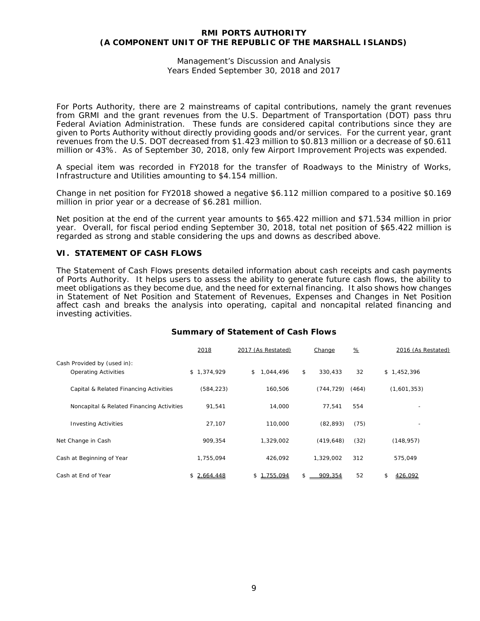Management's Discussion and Analysis Years Ended September 30, 2018 and 2017

For Ports Authority, there are 2 mainstreams of capital contributions, namely the grant revenues from GRMI and the grant revenues from the U.S. Department of Transportation (DOT) pass thru Federal Aviation Administration. These funds are considered capital contributions since they are given to Ports Authority without directly providing goods and/or services. For the current year, grant revenues from the U.S. DOT decreased from \$1.423 million to \$0.813 million or a decrease of \$0.611 million or 43%. As of September 30, 2018, only few Airport Improvement Projects was expended.

A special item was recorded in FY2018 for the transfer of Roadways to the Ministry of Works, Infrastructure and Utilities amounting to \$4.154 million.

Change in net position for FY2018 showed a negative \$6.112 million compared to a positive \$0.169 million in prior year or a decrease of \$6.281 million.

Net position at the end of the current year amounts to \$65.422 million and \$71.534 million in prior year. Overall, for fiscal period ending September 30, 2018, total net position of \$65.422 million is regarded as strong and stable considering the ups and downs as described above.

#### **VI. STATEMENT OF CASH FLOWS**

The Statement of Cash Flows presents detailed information about cash receipts and cash payments of Ports Authority. It helps users to assess the ability to generate future cash flows, the ability to meet obligations as they become due, and the need for external financing. It also shows how changes in Statement of Net Position and Statement of Revenues, Expenses and Changes in Net Position affect cash and breaks the analysis into operating, capital and noncapital related financing and investing activities.

#### **Summary of Statement of Cash Flows**

|                                                            | 2018        | 2017 (As Restated) | Change        | $\frac{9}{6}$ | 2016 (As Restated)       |
|------------------------------------------------------------|-------------|--------------------|---------------|---------------|--------------------------|
| Cash Provided by (used in):<br><b>Operating Activities</b> | \$1,374,929 | \$<br>1,044,496    | \$<br>330.433 | 32            | \$1,452,396              |
| Capital & Related Financing Activities                     | (584, 223)  | 160,506            | (744, 729)    | (464)         | (1,601,353)              |
| Noncapital & Related Financing Activities                  | 91,541      | 14,000             | 77,541        | 554           |                          |
| <b>Investing Activities</b>                                | 27,107      | 110,000            | (82, 893)     | (75)          | $\overline{\phantom{a}}$ |
| Net Change in Cash                                         | 909,354     | 1,329,002          | (419, 648)    | (32)          | (148, 957)               |
| Cash at Beginning of Year                                  | 1,755,094   | 426.092            | 1,329,002     | 312           | 575.049                  |
| Cash at End of Year                                        | \$2.664.448 | \$1.755.094        | 909.354       | 52            | \$<br>426.092            |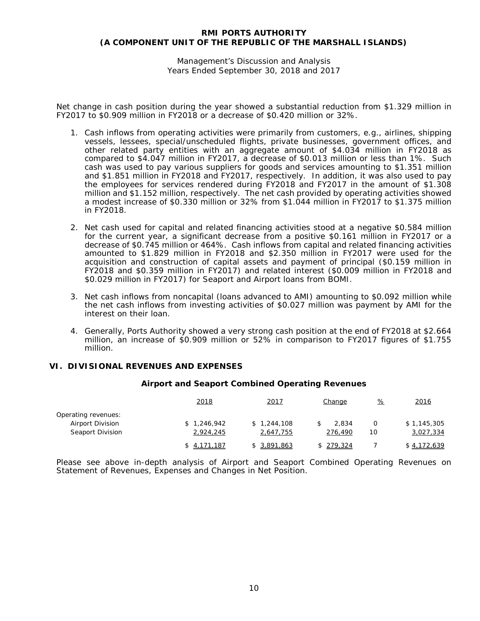Management's Discussion and Analysis Years Ended September 30, 2018 and 2017

Net change in cash position during the year showed a substantial reduction from \$1.329 million in FY2017 to \$0.909 million in FY2018 or a decrease of \$0.420 million or 32%.

- 1. Cash inflows from operating activities were primarily from customers, e.g., airlines, shipping vessels, lessees, special/unscheduled flights, private businesses, government offices, and other related party entities with an aggregate amount of \$4.034 million in FY2018 as compared to \$4.047 million in FY2017, a decrease of \$0.013 million or less than 1%. Such cash was used to pay various suppliers for goods and services amounting to \$1.351 million and \$1.851 million in FY2018 and FY2017, respectively. In addition, it was also used to pay the employees for services rendered during FY2018 and FY2017 in the amount of \$1.308 million and \$1.152 million, respectively. The net cash provided by operating activities showed a modest increase of \$0.330 million or 32% from \$1.044 million in FY2017 to \$1.375 million in FY2018.
- 2. Net cash used for capital and related financing activities stood at a negative \$0.584 million for the current year, a significant decrease from a positive \$0.161 million in FY2017 or a decrease of \$0.745 million or 464%. Cash inflows from capital and related financing activities amounted to \$1.829 million in FY2018 and \$2.350 million in FY2017 were used for the acquisition and construction of capital assets and payment of principal (\$0.159 million in FY2018 and \$0.359 million in FY2017) and related interest (\$0.009 million in FY2018 and \$0.029 million in FY2017) for Seaport and Airport loans from BOMI.
- 3. Net cash inflows from noncapital (loans advanced to AMI) amounting to \$0.092 million while the net cash inflows from investing activities of \$0.027 million was payment by AMI for the interest on their loan.
- 4. Generally, Ports Authority showed a very strong cash position at the end of FY2018 at \$2.664 million, an increase of \$0.909 million or 52% in comparison to FY2017 figures of \$1.755 million.

#### **VI. DIVISIONAL REVENUES AND EXPENSES**

#### **Airport and Seaport Combined Operating Revenues**

|                     | 2018        | <u> 2017</u> | Change    | $\frac{9}{6}$ | <u>2016</u> |
|---------------------|-------------|--------------|-----------|---------------|-------------|
| Operating revenues: |             |              |           |               |             |
| Airport Division    | \$1,246,942 | \$1,244,108  | 2.834     | 0             | \$1,145,305 |
| Seaport Division    | 2,924,245   | 2,647,755    | 276,490   | 10            | 3,027,334   |
|                     | \$4.171.187 | \$3.891.863  | \$279.324 |               | \$4.172.639 |

Please see above in-depth analysis of Airport and Seaport Combined Operating Revenues on Statement of Revenues, Expenses and Changes in Net Position.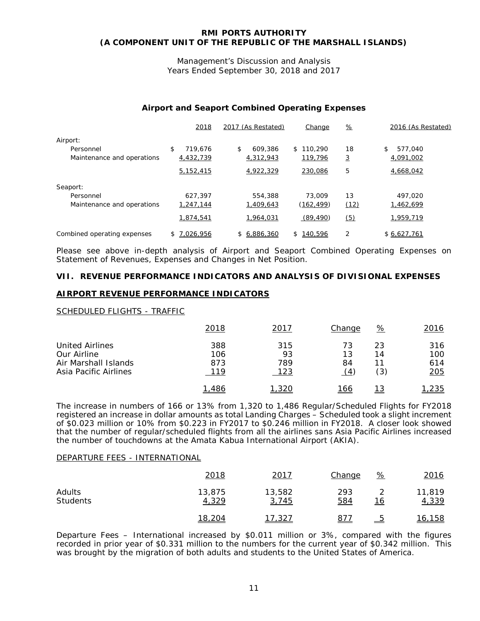Management's Discussion and Analysis Years Ended September 30, 2018 and 2017

#### **Airport and Seaport Combined Operating Expenses**

|                             | 2018          | 2017 (As Restated) | Change        | <u>%</u> | 2016 (As Restated) |
|-----------------------------|---------------|--------------------|---------------|----------|--------------------|
| Airport:                    |               |                    |               |          |                    |
| Personnel                   | \$<br>719.676 | \$<br>609,386      | 110,290<br>\$ | 18       | \$<br>577,040      |
| Maintenance and operations  | 4,432,739     | 4,312,943          | 119,796       | <u>3</u> | 4,091,002          |
|                             | 5, 152, 415   | 4,922,329          | 230,086       | 5        | 4,668,042          |
| Seaport:                    |               |                    |               |          |                    |
| Personnel                   | 627.397       | 554,388            | 73,009        | 13       | 497.020            |
| Maintenance and operations  | 1,247,144     | 1,409,643          | (162,499)     | (12)     | 1,462,699          |
|                             | 1,874,541     | 1,964,031          | (89, 490)     | (5)      | 1,959,719          |
| Combined operating expenses | 7.026.956     | 6.886.360          | 140.596<br>\$ | 2        | \$6,627,761        |

Please see above in-depth analysis of Airport and Seaport Combined Operating Expenses on Statement of Revenues, Expenses and Changes in Net Position.

#### **VII. REVENUE PERFORMANCE INDICATORS AND ANALYSIS OF DIVISIONAL EXPENSES**

#### **AIRPORT REVENUE PERFORMANCE INDICATORS**

#### SCHEDULED FLIGHTS - TRAFFIC

|                                                                                        | <u>2018</u>              | <u> 2017 </u>           | Change                | $\frac{9}{6}$         | <u> 2016 </u>            |
|----------------------------------------------------------------------------------------|--------------------------|-------------------------|-----------------------|-----------------------|--------------------------|
| <b>United Airlines</b><br>Our Airline<br>Air Marshall Islands<br>Asia Pacific Airlines | 388<br>106<br>873<br>119 | 315<br>93<br>789<br>123 | 73<br>13<br>84<br>(4) | 23<br>14<br>11<br>(3) | 316<br>100<br>614<br>205 |
|                                                                                        | .486                     |                         | 166                   | <u> 13</u>            | <u>1,235</u>             |

The increase in numbers of 166 or 13% from 1,320 to 1,486 Regular/Scheduled Flights for FY2018 registered an increase in dollar amounts as total Landing Charges – Scheduled took a slight increment of \$0.023 million or 10% from \$0.223 in FY2017 to \$0.246 million in FY2018. A closer look showed that the number of regular/scheduled flights from all the airlines sans Asia Pacific Airlines increased the number of touchdowns at the Amata Kabua International Airport (AKIA).

#### DEPARTURE FEES - INTERNATIONAL

|                           | 2018            | 2017            | Change     | <u>%</u>  | <u> 2016</u>    |
|---------------------------|-----------------|-----------------|------------|-----------|-----------------|
| Adults<br><b>Students</b> | 13,875<br>4,329 | 13,582<br>3,745 | 293<br>584 | <u>16</u> | 11,819<br>4,339 |
|                           | 18,204          | <u>17,327</u>   | <u>877</u> | <u>_5</u> | <u>16,158</u>   |

Departure Fees – International increased by \$0.011 million or 3%, compared with the figures recorded in prior year of \$0.331 million to the numbers for the current year of \$0.342 million. This was brought by the migration of both adults and students to the United States of America.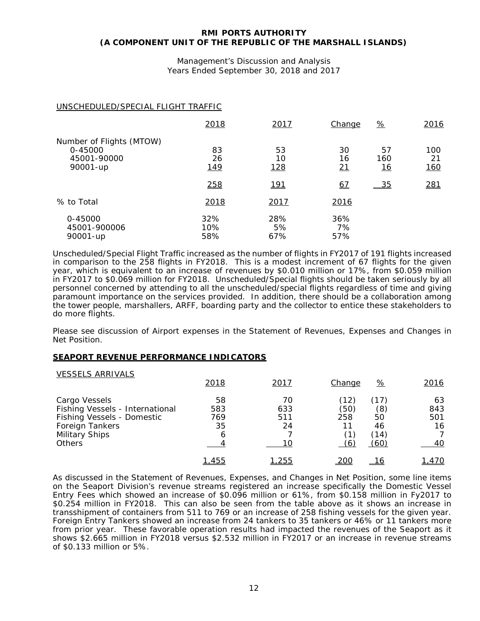Management's Discussion and Analysis Years Ended September 30, 2018 and 2017

#### UNSCHEDULED/SPECIAL FLIGHT TRAFFIC

|                                     | 2018              | 2017                   | Change           | $\frac{9}{6}$           | 2016                    |
|-------------------------------------|-------------------|------------------------|------------------|-------------------------|-------------------------|
| Number of Flights (MTOW)            |                   |                        |                  |                         |                         |
| 0-45000<br>45001-90000<br>90001-up  | 83<br>26<br>149   | 53<br>10<br><u>128</u> | 30<br>16<br>21   | 57<br>160<br><u> 16</u> | 100<br>21<br><u>160</u> |
|                                     | 258               | <u>191</u>             | 67               | 35                      | <u>281</u>              |
| % to Total                          | 2018              | 2017                   | 2016             |                         |                         |
| 0-45000<br>45001-900006<br>90001-up | 32%<br>10%<br>58% | 28%<br>5%<br>67%       | 36%<br>7%<br>57% |                         |                         |

Unscheduled/Special Flight Traffic increased as the number of flights in FY2017 of 191 flights increased in comparison to the 258 flights in FY2018. This is a modest increment of 67 flights for the given year, which is equivalent to an increase of revenues by \$0.010 million or 17%, from \$0.059 million in FY2017 to \$0.069 million for FY2018. Unscheduled/Special flights should be taken seriously by all personnel concerned by attending to all the unscheduled/special flights regardless of time and giving paramount importance on the services provided. In addition, there should be a collaboration among the tower people, marshallers, ARFF, boarding party and the collector to entice these stakeholders to do more flights.

Please see discussion of Airport expenses in the Statement of Revenues, Expenses and Changes in Net Position.

#### **SEAPORT REVENUE PERFORMANCE INDICATORS**

#### VESSELS ARRIVALS

|                                                                                                                                      | 2018                        | 2017                         | Change                           | $\frac{9}{6}$                           | 2016                         |
|--------------------------------------------------------------------------------------------------------------------------------------|-----------------------------|------------------------------|----------------------------------|-----------------------------------------|------------------------------|
| Cargo Vessels<br>Fishing Vessels - International<br>Fishing Vessels - Domestic<br>Foreign Tankers<br><b>Military Ships</b><br>Others | 58<br>583<br>769<br>35<br>6 | 70<br>633<br>511<br>24<br>10 | (12)<br>(50)<br>258<br>11<br>(6) | (17)<br>(8)<br>50<br>46<br>(14)<br>(60) | 63<br>843<br>501<br>16<br>40 |
|                                                                                                                                      | ,455                        | ,255                         | <u> 200</u>                      |                                         |                              |

As discussed in the Statement of Revenues, Expenses, and Changes in Net Position, some line items on the Seaport Division's revenue streams registered an increase specifically the Domestic Vessel Entry Fees which showed an increase of \$0.096 million or 61%, from \$0.158 million in Fy2017 to \$0.254 million in FY2018. This can also be seen from the table above as it shows an increase in transshipment of containers from 511 to 769 or an increase of 258 fishing vessels for the given year. Foreign Entry Tankers showed an increase from 24 tankers to 35 tankers or 46% or 11 tankers more from prior year. These favorable operation results had impacted the revenues of the Seaport as it shows \$2.665 million in FY2018 versus \$2.532 million in FY2017 or an increase in revenue streams of \$0.133 million or 5%.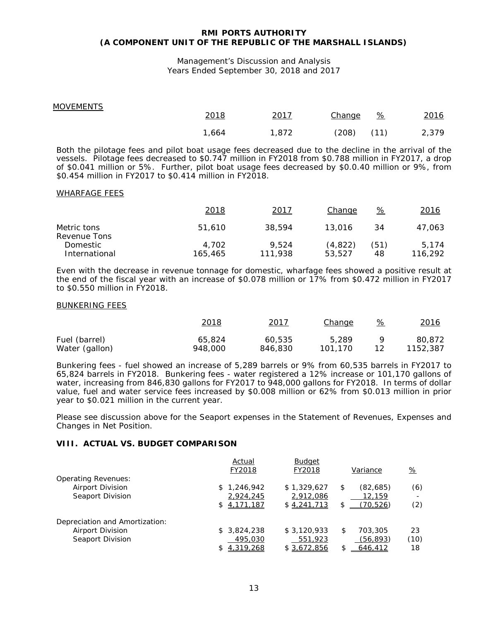#### Management's Discussion and Analysis Years Ended September 30, 2018 and 2017

| MOVEMENTS | 2018  | <u> 2017</u> | <u>%</u><br><u>Change</u> | <u> 2016</u> |
|-----------|-------|--------------|---------------------------|--------------|
|           | 1,664 | 1,872        | (208)<br>(11)             | 2,379        |

Both the pilotage fees and pilot boat usage fees decreased due to the decline in the arrival of the vessels. Pilotage fees decreased to \$0.747 million in FY2018 from \$0.788 million in FY2017, a drop of \$0.041 million or 5%. Further, pilot boat usage fees decreased by \$0.0.40 million or 9%, from \$0.454 million in FY2017 to \$0.414 million in FY2018.

#### WHARFAGE FEES

|                             | 2018             | <u> 2017</u>     | Change            | <u>%</u>   | <u> 2016</u>     |
|-----------------------------|------------------|------------------|-------------------|------------|------------------|
| Metric tons<br>Revenue Tons | 51,610           | 38,594           | 13,016            | 34         | 47,063           |
| Domestic<br>International   | 4.702<br>165,465 | 9.524<br>111,938 | (4,822)<br>53,527 | (51)<br>48 | 5.174<br>116,292 |

Even with the decrease in revenue tonnage for domestic, wharfage fees showed a positive result at the end of the fiscal year with an increase of \$0.078 million or 17% from \$0.472 million in FY2017 to \$0.550 million in FY2018.

#### BUNKERING FEES

|                | 2018    | 2017    | <b>Change</b> | $\frac{9}{6}$ | 2016     |
|----------------|---------|---------|---------------|---------------|----------|
| Fuel (barrel)  | 65,824  | 60.535  | 5.289         |               | 80.872   |
| Water (gallon) | 948,000 | 846,830 | 101.170       |               | 1152,387 |

Bunkering fees - fuel showed an increase of 5,289 barrels or 9% from 60,535 barrels in FY2017 to 65,824 barrels in FY2018. Bunkering fees - water registered a 12% increase or 101,170 gallons of water, increasing from 846,830 gallons for FY2017 to 948,000 gallons for FY2018. In terms of dollar value, fuel and water service fees increased by \$0.008 million or 62% from \$0.013 million in prior year to \$0.021 million in the current year.

Please see discussion above for the Seaport expenses in the Statement of Revenues, Expenses and Changes in Net Position.

#### **VIII. ACTUAL VS. BUDGET COMPARISON**

|                                | Actual          | <b>Budget</b> |                 |               |
|--------------------------------|-----------------|---------------|-----------------|---------------|
|                                | FY2018          | FY2018        | Variance        | $\frac{9}{6}$ |
| <b>Operating Revenues:</b>     |                 |               |                 |               |
| Airport Division               | \$1,246,942     | \$1,329,627   | (82, 685)<br>\$ | (6)           |
| Seaport Division               | 2,924,245       | 2,912,086     | 12,159          |               |
|                                | 4,171,187<br>\$ | \$4,241,713   | (70, 526)<br>\$ | (2)           |
| Depreciation and Amortization: |                 |               |                 |               |
| Airport Division               | \$3,824,238     | \$3,120,933   | 703,305<br>\$   | 23            |
| Seaport Division               | 495,030         | 551,923       | (56, 893)       | (10)          |
|                                | 4.319.268       | \$3.672.856   | 646,412<br>\$   | 18            |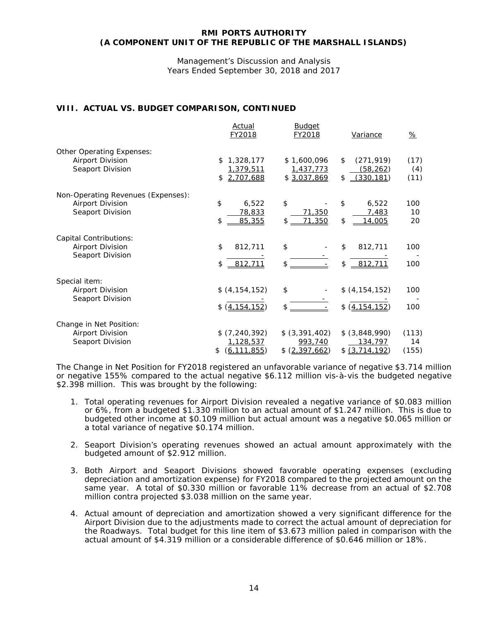#### Management's Discussion and Analysis Years Ended September 30, 2018 and 2017

#### **VIII. ACTUAL VS. BUDGET COMPARISON, CONTINUED**

|                                    | <b>Actual</b><br>FY2018 | <b>Budget</b><br>FY2018 | Variance         | $\%$  |
|------------------------------------|-------------------------|-------------------------|------------------|-------|
| <b>Other Operating Expenses:</b>   |                         |                         |                  |       |
| Airport Division                   | \$1,328,177             | \$1,600,096             | \$<br>(271, 919) | (17)  |
| Seaport Division                   | 1,379,511               | 1,437,773               | (58, 262)        | (4)   |
|                                    | \$2,707,688             | \$3,037,869             | (330, 181)<br>\$ | (11)  |
| Non-Operating Revenues (Expenses): |                         |                         |                  |       |
| Airport Division                   | \$<br>6,522             | \$                      | \$<br>6,522      | 100   |
| Seaport Division                   | <u>78,833</u>           | 71,350                  | 7,483            | 10    |
|                                    | \$<br>85,355            | 71,350<br>\$            | \$<br>14,005     | 20    |
| Capital Contributions:             |                         |                         |                  |       |
| Airport Division                   | \$<br>812,711           | \$                      | \$<br>812,711    | 100   |
| Seaport Division                   |                         |                         |                  |       |
|                                    | \$<br>812,711           | \$                      | \$<br>812,711    | 100   |
| Special item:                      |                         |                         |                  |       |
| Airport Division                   | \$(4, 154, 152)         | \$                      | \$(4, 154, 152)  | 100   |
| Seaport Division                   |                         |                         |                  |       |
|                                    | \$ (4, 154, 152)        | \$                      | \$ (4, 154, 152) | 100   |
| Change in Net Position:            |                         |                         |                  |       |
| Airport Division                   | \$ (7, 240, 392)        | \$ (3,391,402)          | \$ (3,848,990)   | (113) |
| Seaport Division                   | 1,128,537               | 993,740                 | 134,797          | 14    |
|                                    | (6, 111, 855)<br>\$     | \$ (2, 397, 662)        | \$ (3, 714, 192) | (155) |

The Change in Net Position for FY2018 registered an unfavorable variance of negative \$3.714 million or negative 155% compared to the actual negative \$6.112 million vis-à-vis the budgeted negative \$2.398 million. This was brought by the following:

- 1. Total operating revenues for Airport Division revealed a negative variance of \$0.083 million or 6%, from a budgeted \$1.330 million to an actual amount of \$1.247 million. This is due to budgeted other income at \$0.109 million but actual amount was a negative \$0.065 million or a total variance of negative \$0.174 million.
- 2. Seaport Division's operating revenues showed an actual amount approximately with the budgeted amount of \$2.912 million.
- 3. Both Airport and Seaport Divisions showed favorable operating expenses (excluding depreciation and amortization expense) for FY2018 compared to the projected amount on the same year. A total of \$0.330 million or favorable 11% decrease from an actual of \$2.708 million contra projected \$3.038 million on the same year.
- 4. Actual amount of depreciation and amortization showed a very significant difference for the Airport Division due to the adjustments made to correct the actual amount of depreciation for the Roadways. Total budget for this line item of \$3.673 million paled in comparison with the actual amount of \$4.319 million or a considerable difference of \$0.646 million or 18%.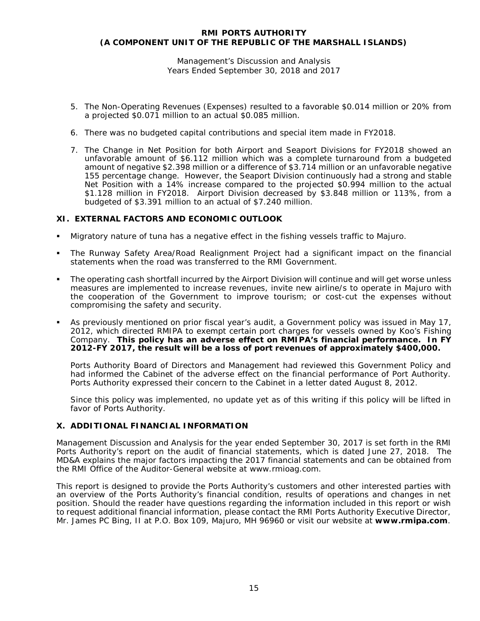Management's Discussion and Analysis Years Ended September 30, 2018 and 2017

- 5. The Non-Operating Revenues (Expenses) resulted to a favorable \$0.014 million or 20% from a projected \$0.071 million to an actual \$0.085 million.
- 6. There was no budgeted capital contributions and special item made in FY2018.
- 7. The Change in Net Position for both Airport and Seaport Divisions for FY2018 showed an unfavorable amount of \$6.112 million which was a complete turnaround from a budgeted amount of negative \$2.398 million or a difference of \$3.714 million or an unfavorable negative 155 percentage change. However, the Seaport Division continuously had a strong and stable Net Position with a 14% increase compared to the projected \$0.994 million to the actual \$1.128 million in FY2018. Airport Division decreased by \$3.848 million or 113%, from a budgeted of \$3.391 million to an actual of \$7.240 million.

#### **XI. EXTERNAL FACTORS AND ECONOMIC OUTLOOK**

- Migratory nature of tuna has a negative effect in the fishing vessels traffic to Majuro.
- The Runway Safety Area/Road Realignment Project had a significant impact on the financial statements when the road was transferred to the RMI Government.
- The operating cash shortfall incurred by the Airport Division will continue and will get worse unless measures are implemented to increase revenues, invite new airline/s to operate in Majuro with the cooperation of the Government to improve tourism; or cost-cut the expenses without compromising the safety and security.
- As previously mentioned on prior fiscal year's audit, a Government policy was issued in May 17, 2012, which directed RMIPA to exempt certain port charges for vessels owned by Koo's Fishing Company. *This policy has an adverse effect on RMIPA's financial performance. In FY 2012-FY 2017, the result will be a loss of port revenues of approximately \$400,000.*

Ports Authority Board of Directors and Management had reviewed this Government Policy and had informed the Cabinet of the adverse effect on the financial performance of Port Authority. Ports Authority expressed their concern to the Cabinet in a letter dated August 8, 2012.

Since this policy was implemented, no update yet as of this writing if this policy will be lifted in favor of Ports Authority.

#### **X. ADDITIONAL FINANCIAL INFORMATION**

Management Discussion and Analysis for the year ended September 30, 2017 is set forth in the RMI Ports Authority's report on the audit of financial statements, which is dated June 27, 2018. The MD&A explains the major factors impacting the 2017 financial statements and can be obtained from the RMI Office of the Auditor-General website at www.rmioag.com.

This report is designed to provide the Ports Authority's customers and other interested parties with an overview of the Ports Authority's financial condition, results of operations and changes in net position. Should the reader have questions regarding the information included in this report or wish to request additional financial information, please contact the RMI Ports Authority Executive Director, Mr. James PC Bing, II at P.O. Box 109, Majuro, MH 96960 or visit our website at **www.rmipa.com**.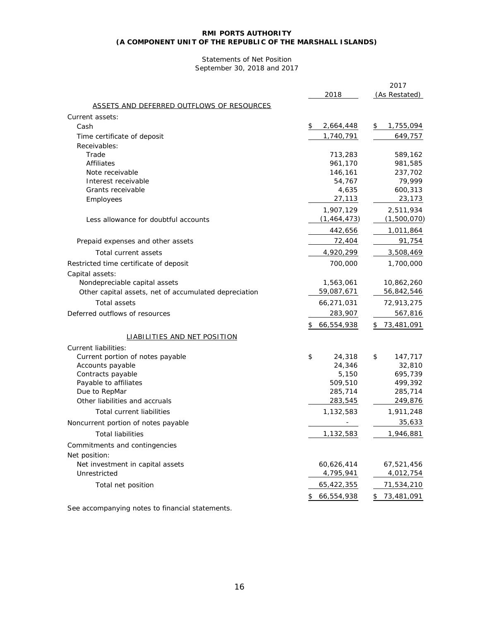#### Statements of Net Position September 30, 2018 and 2017

|                                                       |                    | 2017               |
|-------------------------------------------------------|--------------------|--------------------|
|                                                       | 2018               | (As Restated)      |
| ASSETS AND DEFERRED OUTFLOWS OF RESOURCES             |                    |                    |
| Current assets:                                       |                    |                    |
| Cash                                                  | \$<br>2,664,448    | 1,755,094<br>\$    |
| Time certificate of deposit                           | 1,740,791          | 649,757            |
| Receivables:<br>Trade                                 |                    |                    |
| Affiliates                                            | 713,283<br>961,170 | 589,162<br>981,585 |
| Note receivable                                       | 146,161            | 237,702            |
| Interest receivable                                   | 54,767             | 79,999             |
| Grants receivable                                     | 4,635              | 600,313            |
| Employees                                             | 27,113             | 23,173             |
|                                                       | 1,907,129          | 2,511,934          |
| Less allowance for doubtful accounts                  | (1, 464, 473)      | (1,500,070)        |
|                                                       | 442,656            | 1,011,864          |
| Prepaid expenses and other assets                     | 72,404             | 91,754             |
| Total current assets                                  | 4,920,299          | 3,508,469          |
| Restricted time certificate of deposit                | 700,000            | 1,700,000          |
| Capital assets:                                       |                    |                    |
| Nondepreciable capital assets                         | 1,563,061          | 10,862,260         |
| Other capital assets, net of accumulated depreciation | 59,087,671         | 56,842,546         |
| <b>Total assets</b>                                   | 66,271,031         | 72,913,275         |
| Deferred outflows of resources                        | 283,907            | 567,816            |
|                                                       | 66,554,938<br>\$   | 73,481,091<br>\$   |
| <b>LIABILITIES AND NET POSITION</b>                   |                    |                    |
| <b>Current liabilities:</b>                           |                    |                    |
| Current portion of notes payable                      | \$<br>24,318       | \$<br>147,717      |
| Accounts payable                                      | 24,346             | 32,810             |
| Contracts payable                                     | 5,150              | 695,739            |
| Payable to affiliates                                 | 509,510            | 499,392            |
| Due to RepMar                                         | 285,714            | 285,714<br>249,876 |
| Other liabilities and accruals                        | 283,545            |                    |
| <b>Total current liabilities</b>                      | 1,132,583          | 1,911,248          |
| Noncurrent portion of notes payable                   |                    | 35,633             |
| <b>Total liabilities</b>                              | 1,132,583          | 1,946,881          |
| Commitments and contingencies                         |                    |                    |
| Net position:                                         |                    |                    |
| Net investment in capital assets                      | 60,626,414         | 67,521,456         |
| Unrestricted                                          | 4,795,941          | 4,012,754          |
| Total net position                                    | 65,422,355         | 71,534,210         |
|                                                       | 66,554,938<br>\$   | 73,481,091<br>\$   |

See accompanying notes to financial statements.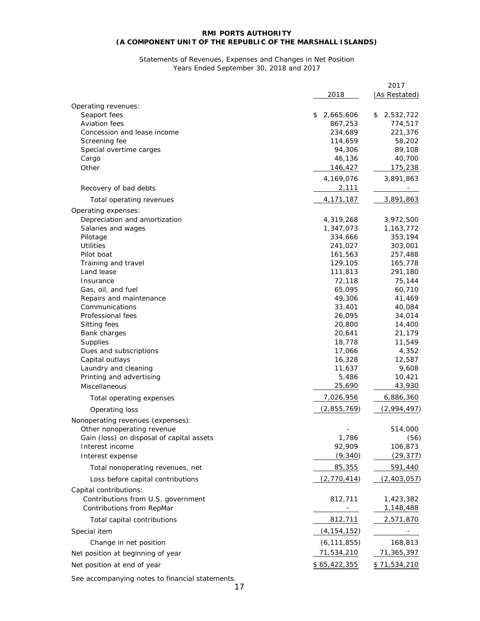#### Statements of Revenues, Expenses and Changes in Net Position Years Ended September 30, 2018 and 2017

|                                                                 |                          | 2017            |
|-----------------------------------------------------------------|--------------------------|-----------------|
|                                                                 | 2018                     | (As Restated)   |
| Operating revenues:                                             |                          |                 |
| Seaport fees                                                    | \$<br>2,665,606          | 2,532,722<br>\$ |
| <b>Aviation fees</b>                                            | 867,253                  | 774,517         |
| Concession and lease income                                     | 234,689                  | 221,376         |
| Screening fee                                                   | 114,659                  | 58,202          |
| Special overtime carges                                         | 94,306                   | 89,108          |
| Cargo                                                           | 46,136                   | 40,700          |
| Other                                                           | 146,427                  | 175,238         |
|                                                                 | 4,169,076                | 3,891,863       |
| Recovery of bad debts                                           | 2,111                    |                 |
| Total operating revenues                                        | 4,171,187                | 3,891,863       |
| Operating expenses:                                             |                          |                 |
| Depreciation and amortization                                   | 4,319,268                | 3,972,500       |
| Salaries and wages                                              | 1,347,073                | 1,163,772       |
| Pilotage                                                        | 334,666                  | 353,194         |
| <b>Utilities</b>                                                | 241,027                  | 303,001         |
| Pilot boat                                                      | 161,563                  | 257,488         |
| Training and travel                                             | 129,105                  | 165,778         |
| Land lease                                                      | 111,813                  | 291,180         |
| Insurance                                                       | 72,118                   | 75,144          |
| Gas, oil, and fuel                                              | 65,095                   | 60,710          |
| Repairs and maintenance                                         | 49,306                   | 41,469          |
| Communications                                                  | 33,401                   | 40,084          |
| Professional fees                                               | 26,095                   | 34,014          |
| Sitting fees                                                    | 20,800                   | 14,400          |
| Bank charges                                                    | 20,641                   | 21,179          |
| Supplies                                                        | 18,778                   | 11,549          |
| Dues and subscriptions                                          | 17,066                   | 4,352           |
| Capital outlays                                                 | 16,328                   | 12,587          |
| Laundry and cleaning                                            | 11,637                   | 9,608           |
| Printing and advertising                                        | 5,486                    | 10,421          |
| Miscellaneous                                                   | 25,690                   | 43,930          |
| Total operating expenses                                        | 7,026,956                | 6,886,360       |
| Operating loss                                                  | (2,855,769)              | (2,994,497)     |
|                                                                 |                          |                 |
| Nonoperating revenues (expenses):<br>Other nonoperating revenue |                          | 514,000         |
| Gain (loss) on disposal of capital assets                       | 1,786                    | (56)            |
| Interest income                                                 | 92,909                   | 106,873         |
| Interest expense                                                | (9, 340)                 | (29, 377)       |
| Total nonoperating revenues, net                                | 85,355                   | 591,440         |
| Loss before capital contributions                               | (2, 770, 414)            | (2,403,057)     |
| Capital contributions:                                          |                          |                 |
| Contributions from U.S. government                              | 812,711                  | 1,423,382       |
| Contributions from RepMar                                       | $\overline{\phantom{a}}$ | 1,148,488       |
| Total capital contributions                                     | 812,711                  | 2,571,870       |
|                                                                 | (4, 154, 152)            |                 |
| Special item                                                    |                          |                 |
| Change in net position                                          | (6, 111, 855)            | 168,813         |
| Net position at beginning of year                               | 71,534,210               | 71,365,397      |
| Net position at end of year                                     | \$65,422,355             | \$71,534,210    |
|                                                                 |                          |                 |

See accompanying notes to financial statements.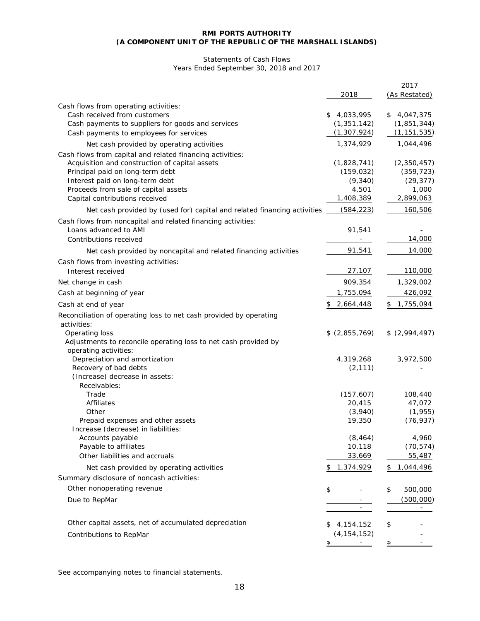#### Statements of Cash Flows Years Ended September 30, 2018 and 2017

|                                                                          |                      | 2017            |
|--------------------------------------------------------------------------|----------------------|-----------------|
|                                                                          | 2018                 | (As Restated)   |
| Cash flows from operating activities:                                    |                      |                 |
| Cash received from customers                                             | \$4,033,995          | \$4,047,375     |
| Cash payments to suppliers for goods and services                        | (1, 351, 142)        | (1, 851, 344)   |
| Cash payments to employees for services                                  | (1, 307, 924)        | (1, 151, 535)   |
| Net cash provided by operating activities                                | 1,374,929            | 1,044,496       |
| Cash flows from capital and related financing activities:                |                      |                 |
| Acquisition and construction of capital assets                           | (1,828,741)          | (2, 350, 457)   |
| Principal paid on long-term debt                                         | (159, 032)           | (359, 723)      |
| Interest paid on long-term debt                                          | (9, 340)             | (29, 377)       |
| Proceeds from sale of capital assets                                     | 4,501                | 1,000           |
| Capital contributions received                                           | 1,408,389            | 2,899,063       |
| Net cash provided by (used for) capital and related financing activities | (584, 223)           | 160,506         |
| Cash flows from noncapital and related financing activities:             |                      |                 |
| Loans advanced to AMI                                                    | 91,541               |                 |
| Contributions received                                                   |                      | 14,000          |
| Net cash provided by noncapital and related financing activities         | 91,541               | 14,000          |
| Cash flows from investing activities:                                    |                      |                 |
| Interest received                                                        | 27,107               | 110,000         |
| Net change in cash                                                       | 909,354              | 1,329,002       |
| Cash at beginning of year                                                | 1,755,094            | 426,092         |
| Cash at end of year                                                      | 2,664,448            | 1,755,094       |
| Reconciliation of operating loss to net cash provided by operating       |                      |                 |
| activities:                                                              |                      |                 |
| Operating loss                                                           | \$(2,855,769)        | \$(2,994,497)   |
| Adjustments to reconcile operating loss to net cash provided by          |                      |                 |
| operating activities:                                                    |                      |                 |
| Depreciation and amortization                                            | 4,319,268            | 3,972,500       |
| Recovery of bad debts                                                    | (2, 111)             |                 |
| (Increase) decrease in assets:                                           |                      |                 |
| Receivables:<br>Trade                                                    |                      | 108,440         |
| Affiliates                                                               | (157, 607)<br>20,415 | 47,072          |
| Other                                                                    | (3,940)              | (1, 955)        |
| Prepaid expenses and other assets                                        | 19,350               | (76, 937)       |
| Increase (decrease) in liabilities:                                      |                      |                 |
| Accounts payable                                                         | (8, 464)             | 4,960           |
| Payable to affiliates                                                    | 10,118               | (70, 574)       |
| Other liabilities and accruals                                           | 33,669               | 55,487          |
| Net cash provided by operating activities                                | 1,374,929<br>\$.     | 1,044,496<br>\$ |
| Summary disclosure of noncash activities:                                |                      |                 |
| Other nonoperating revenue                                               | \$                   | \$<br>500,000   |
| Due to RepMar                                                            |                      | (500,000)       |
|                                                                          |                      |                 |
|                                                                          |                      |                 |
| Other capital assets, net of accumulated depreciation                    | 4,154,152            | \$              |
| Contributions to RepMar                                                  | (4, 154, 152)        |                 |
|                                                                          | $\pmb{\downarrow}$   | ¢               |

See accompanying notes to financial statements.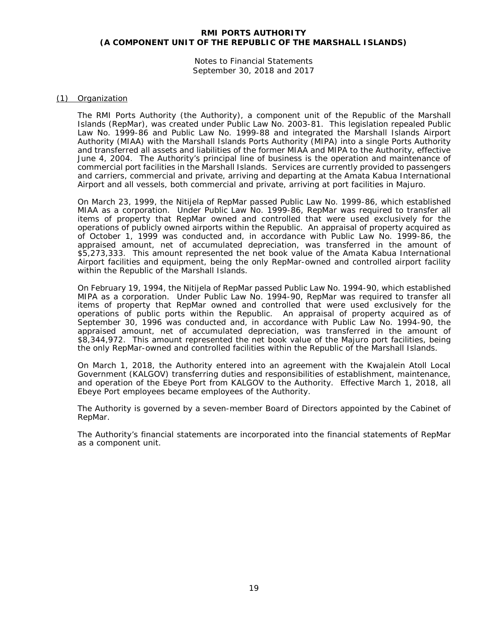Notes to Financial Statements September 30, 2018 and 2017

#### (1) Organization

The RMI Ports Authority (the Authority), a component unit of the Republic of the Marshall Islands (RepMar), was created under Public Law No. 2003-81. This legislation repealed Public Law No. 1999-86 and Public Law No. 1999-88 and integrated the Marshall Islands Airport Authority (MIAA) with the Marshall Islands Ports Authority (MIPA) into a single Ports Authority and transferred all assets and liabilities of the former MIAA and MIPA to the Authority, effective June 4, 2004. The Authority's principal line of business is the operation and maintenance of commercial port facilities in the Marshall Islands. Services are currently provided to passengers and carriers, commercial and private, arriving and departing at the Amata Kabua International Airport and all vessels, both commercial and private, arriving at port facilities in Majuro.

On March 23, 1999, the Nitijela of RepMar passed Public Law No. 1999-86, which established MIAA as a corporation. Under Public Law No. 1999-86, RepMar was required to transfer all items of property that RepMar owned and controlled that were used exclusively for the operations of publicly owned airports within the Republic. An appraisal of property acquired as of October 1, 1999 was conducted and, in accordance with Public Law No. 1999-86, the appraised amount, net of accumulated depreciation, was transferred in the amount of \$5,273,333. This amount represented the net book value of the Amata Kabua International Airport facilities and equipment, being the only RepMar-owned and controlled airport facility within the Republic of the Marshall Islands.

On February 19, 1994, the Nitijela of RepMar passed Public Law No. 1994-90, which established MIPA as a corporation. Under Public Law No. 1994-90, RepMar was required to transfer all items of property that RepMar owned and controlled that were used exclusively for the operations of public ports within the Republic. An appraisal of property acquired as of September 30, 1996 was conducted and, in accordance with Public Law No. 1994-90, the appraised amount, net of accumulated depreciation, was transferred in the amount of \$8,344,972. This amount represented the net book value of the Majuro port facilities, being the only RepMar-owned and controlled facilities within the Republic of the Marshall Islands.

On March 1, 2018, the Authority entered into an agreement with the Kwajalein Atoll Local Government (KALGOV) transferring duties and responsibilities of establishment, maintenance, and operation of the Ebeye Port from KALGOV to the Authority. Effective March 1, 2018, all Ebeye Port employees became employees of the Authority.

The Authority is governed by a seven-member Board of Directors appointed by the Cabinet of RepMar.

The Authority's financial statements are incorporated into the financial statements of RepMar as a component unit.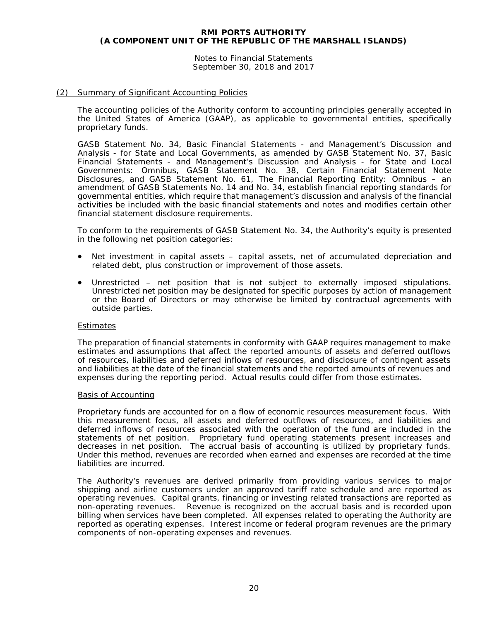Notes to Financial Statements September 30, 2018 and 2017

#### (2) Summary of Significant Accounting Policies

The accounting policies of the Authority conform to accounting principles generally accepted in the United States of America (GAAP), as applicable to governmental entities, specifically proprietary funds.

GASB Statement No. 34, *Basic Financial Statements - and Management's Discussion and Analysis - for State and Local Governments*, as amended by GASB Statement No. 37, *Basic Financial Statements - and Management's Discussion and Analysis - for State and Local Governments: Omnibus*, GASB Statement No. 38, *Certain Financial Statement Note Disclosures*, and GASB Statement No. 61, *The Financial Reporting Entity: Omnibus – an amendment of GASB Statements No. 14 and No. 34,* establish financial reporting standards for governmental entities, which require that management's discussion and analysis of the financial activities be included with the basic financial statements and notes and modifies certain other financial statement disclosure requirements.

To conform to the requirements of GASB Statement No. 34, the Authority's equity is presented in the following net position categories:

- Net investment in capital assets capital assets, net of accumulated depreciation and related debt, plus construction or improvement of those assets.
- Unrestricted net position that is not subject to externally imposed stipulations. Unrestricted net position may be designated for specific purposes by action of management or the Board of Directors or may otherwise be limited by contractual agreements with outside parties.

#### Estimates

The preparation of financial statements in conformity with GAAP requires management to make estimates and assumptions that affect the reported amounts of assets and deferred outflows of resources, liabilities and deferred inflows of resources, and disclosure of contingent assets and liabilities at the date of the financial statements and the reported amounts of revenues and expenses during the reporting period. Actual results could differ from those estimates.

#### Basis of Accounting

Proprietary funds are accounted for on a flow of economic resources measurement focus. With this measurement focus, all assets and deferred outflows of resources, and liabilities and deferred inflows of resources associated with the operation of the fund are included in the statements of net position. Proprietary fund operating statements present increases and decreases in net position. The accrual basis of accounting is utilized by proprietary funds. Under this method, revenues are recorded when earned and expenses are recorded at the time liabilities are incurred.

The Authority's revenues are derived primarily from providing various services to major shipping and airline customers under an approved tariff rate schedule and are reported as operating revenues. Capital grants, financing or investing related transactions are reported as non-operating revenues. Revenue is recognized on the accrual basis and is recorded upon billing when services have been completed. All expenses related to operating the Authority are reported as operating expenses. Interest income or federal program revenues are the primary components of non-operating expenses and revenues.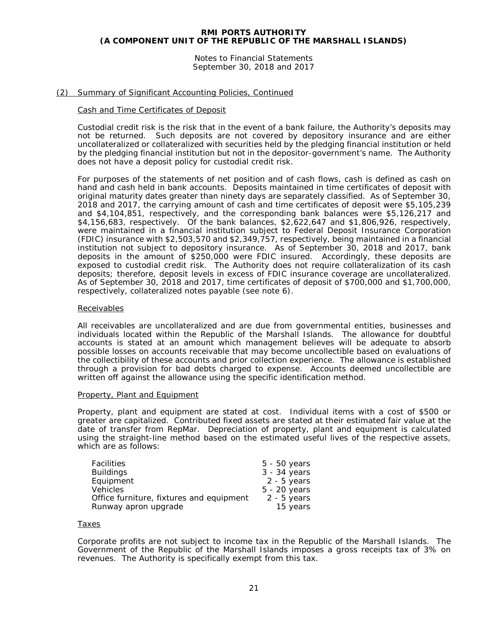Notes to Financial Statements September 30, 2018 and 2017

#### (2) Summary of Significant Accounting Policies, Continued

#### Cash and Time Certificates of Deposit

Custodial credit risk is the risk that in the event of a bank failure, the Authority's deposits may not be returned. Such deposits are not covered by depository insurance and are either uncollateralized or collateralized with securities held by the pledging financial institution or held by the pledging financial institution but not in the depositor-government's name. The Authority does not have a deposit policy for custodial credit risk.

For purposes of the statements of net position and of cash flows, cash is defined as cash on hand and cash held in bank accounts. Deposits maintained in time certificates of deposit with original maturity dates greater than ninety days are separately classified. As of September 30, 2018 and 2017, the carrying amount of cash and time certificates of deposit were \$5,105,239 and \$4,104,851, respectively, and the corresponding bank balances were \$5,126,217 and \$4,156,683, respectively. Of the bank balances, \$2,622,647 and \$1,806,926, respectively, were maintained in a financial institution subject to Federal Deposit Insurance Corporation (FDIC) insurance with \$2,503,570 and \$2,349,757, respectively, being maintained in a financial institution not subject to depository insurance. As of September 30, 2018 and 2017, bank deposits in the amount of \$250,000 were FDIC insured. Accordingly, these deposits are exposed to custodial credit risk. The Authority does not require collateralization of its cash deposits; therefore, deposit levels in excess of FDIC insurance coverage are uncollateralized. As of September 30, 2018 and 2017, time certificates of deposit of \$700,000 and \$1,700,000, respectively, collateralized notes payable (see note 6).

#### Receivables

All receivables are uncollateralized and are due from governmental entities, businesses and individuals located within the Republic of the Marshall Islands. The allowance for doubtful accounts is stated at an amount which management believes will be adequate to absorb possible losses on accounts receivable that may become uncollectible based on evaluations of the collectibility of these accounts and prior collection experience. The allowance is established through a provision for bad debts charged to expense. Accounts deemed uncollectible are written off against the allowance using the specific identification method.

#### Property, Plant and Equipment

Property, plant and equipment are stated at cost. Individual items with a cost of \$500 or greater are capitalized. Contributed fixed assets are stated at their estimated fair value at the date of transfer from RepMar. Depreciation of property, plant and equipment is calculated using the straight-line method based on the estimated useful lives of the respective assets, which are as follows:

| <b>Facilities</b>                        | 5 - 50 years  |
|------------------------------------------|---------------|
| <b>Buildings</b>                         | 3 - 34 years  |
| Equipment                                | $2 - 5$ years |
| <b>Vehicles</b>                          | 5 - 20 years  |
| Office furniture, fixtures and equipment | $2 - 5$ years |
| Runway apron upgrade                     | 15 years      |

#### Taxes

Corporate profits are not subject to income tax in the Republic of the Marshall Islands. The Government of the Republic of the Marshall Islands imposes a gross receipts tax of 3% on revenues. The Authority is specifically exempt from this tax.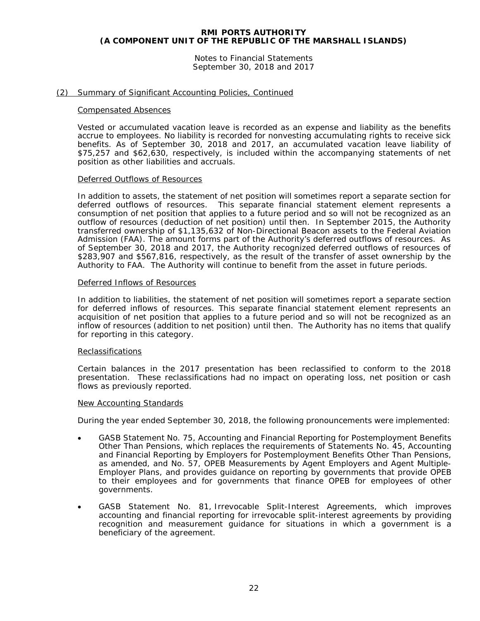Notes to Financial Statements September 30, 2018 and 2017

#### (2) Summary of Significant Accounting Policies, Continued

#### Compensated Absences

Vested or accumulated vacation leave is recorded as an expense and liability as the benefits accrue to employees. No liability is recorded for nonvesting accumulating rights to receive sick benefits. As of September 30, 2018 and 2017, an accumulated vacation leave liability of \$75,257 and \$62,630, respectively, is included within the accompanying statements of net position as other liabilities and accruals.

#### Deferred Outflows of Resources

In addition to assets, the statement of net position will sometimes report a separate section for deferred outflows of resources. This separate financial statement element represents a consumption of net position that applies to a future period and so will not be recognized as an outflow of resources (deduction of net position) until then. In September 2015, the Authority transferred ownership of \$1,135,632 of Non-Directional Beacon assets to the Federal Aviation Admission (FAA). The amount forms part of the Authority's deferred outflows of resources. As of September 30, 2018 and 2017, the Authority recognized deferred outflows of resources of \$283,907 and \$567,816, respectively, as the result of the transfer of asset ownership by the Authority to FAA. The Authority will continue to benefit from the asset in future periods.

#### Deferred Inflows of Resources

In addition to liabilities, the statement of net position will sometimes report a separate section for deferred inflows of resources. This separate financial statement element represents an acquisition of net position that applies to a future period and so will not be recognized as an inflow of resources (addition to net position) until then. The Authority has no items that qualify for reporting in this category.

#### Reclassifications

Certain balances in the 2017 presentation has been reclassified to conform to the 2018 presentation. These reclassifications had no impact on operating loss, net position or cash flows as previously reported.

#### New Accounting Standards

During the year ended September 30, 2018, the following pronouncements were implemented:

- GASB Statement No. 75, *Accounting and Financial Reporting for Postemployment Benefits Other Than Pensions*, which replaces the requirements of Statements No. 45, *Accounting and Financial Reporting by Employers for Postemployment Benefits Other Than Pensions*, as amended, and No. 57, *OPEB Measurements by Agent Employers and Agent Multiple-Employer Plans*, and provides guidance on reporting by governments that provide OPEB to their employees and for governments that finance OPEB for employees of other governments.
- GASB Statement No. 81, *Irrevocable Split-Interest Agreements,* which improves accounting and financial reporting for irrevocable split-interest agreements by providing recognition and measurement guidance for situations in which a government is a beneficiary of the agreement.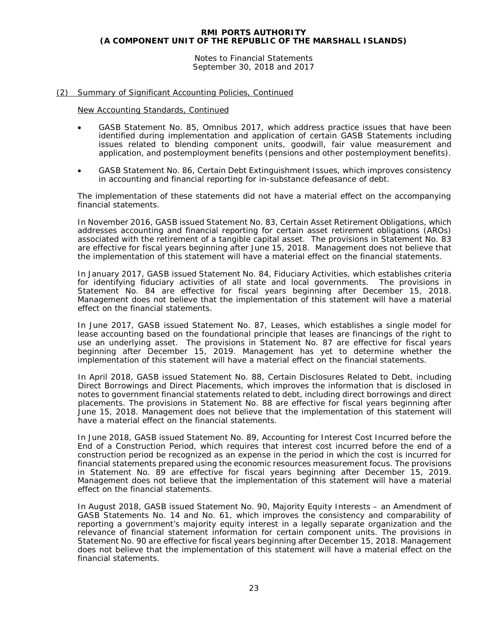Notes to Financial Statements September 30, 2018 and 2017

#### (2) Summary of Significant Accounting Policies, Continued

New Accounting Standards, Continued

- GASB Statement No. 85, *Omnibus 2017*, which address practice issues that have been identified during implementation and application of certain GASB Statements including issues related to blending component units, goodwill, fair value measurement and application, and postemployment benefits (pensions and other postemployment benefits).
- GASB Statement No. 86, *Certain Debt Extinguishment Issues*, which improves consistency in accounting and financial reporting for in-substance defeasance of debt.

The implementation of these statements did not have a material effect on the accompanying financial statements.

In November 2016, GASB issued Statement No. 83, *Certain Asset Retirement Obligations*, which addresses accounting and financial reporting for certain asset retirement obligations (AROs) associated with the retirement of a tangible capital asset. The provisions in Statement No. 83 are effective for fiscal years beginning after June 15, 2018. Management does not believe that the implementation of this statement will have a material effect on the financial statements.

In January 2017, GASB issued Statement No. 84, *Fiduciary Activities*, which establishes criteria for identifying fiduciary activities of all state and local governments. The provisions in Statement No. 84 are effective for fiscal years beginning after December 15, 2018. Management does not believe that the implementation of this statement will have a material effect on the financial statements.

In June 2017, GASB issued Statement No. 87, *Leases*, which establishes a single model for lease accounting based on the foundational principle that leases are financings of the right to use an underlying asset. The provisions in Statement No. 87 are effective for fiscal years beginning after December 15, 2019. Management has yet to determine whether the implementation of this statement will have a material effect on the financial statements.

In April 2018, GASB issued Statement No. 88, *Certain Disclosures Related to Debt, including Direct Borrowings and Direct Placements*, which improves the information that is disclosed in notes to government financial statements related to debt, including direct borrowings and direct placements. The provisions in Statement No. 88 are effective for fiscal years beginning after June 15, 2018. Management does not believe that the implementation of this statement will have a material effect on the financial statements.

In June 2018, GASB issued Statement No. 89, *Accounting for Interest Cost Incurred before the End of a Construction Period*, which requires that interest cost incurred before the end of a construction period be recognized as an expense in the period in which the cost is incurred for financial statements prepared using the economic resources measurement focus. The provisions in Statement No. 89 are effective for fiscal years beginning after December 15, 2019. Management does not believe that the implementation of this statement will have a material effect on the financial statements.

In August 2018, GASB issued Statement No. 90, *Majority Equity Interests – an Amendment of GASB Statements No. 14 and No. 61,* which improves the consistency and comparability of reporting a government's majority equity interest in a legally separate organization and the relevance of financial statement information for certain component units. The provisions in Statement No. 90 are effective for fiscal years beginning after December 15, 2018. Management does not believe that the implementation of this statement will have a material effect on the financial statements.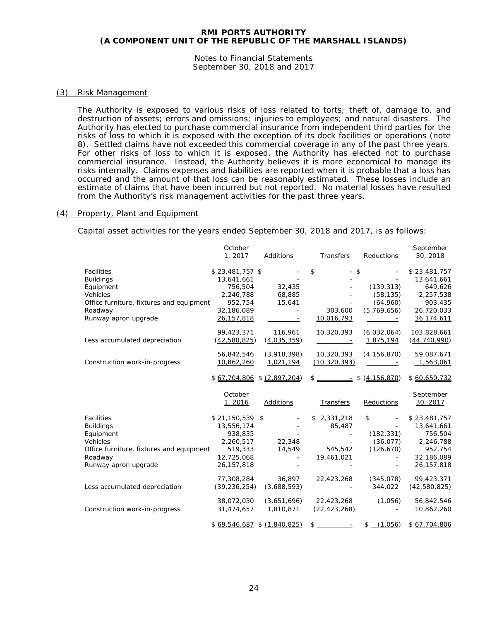Notes to Financial Statements September 30, 2018 and 2017

#### (3) Risk Management

The Authority is exposed to various risks of loss related to torts; theft of, damage to, and destruction of assets; errors and omissions; injuries to employees; and natural disasters. The Authority has elected to purchase commercial insurance from independent third parties for the risks of loss to which it is exposed with the exception of its dock facilities or operations (note 8). Settled claims have not exceeded this commercial coverage in any of the past three years. For other risks of loss to which it is exposed, the Authority has elected not to purchase commercial insurance. Instead, the Authority believes it is more economical to manage its risks internally. Claims expenses and liabilities are reported when it is probable that a loss has occurred and the amount of that loss can be reasonably estimated. These losses include an estimate of claims that have been incurred but not reported. No material losses have resulted from the Authority's risk management activities for the past three years.

#### (4) Property, Plant and Equipment

Capital asset activities for the years ended September 30, 2018 and 2017, is as follows:

|                                          | October<br>1, 2017             | <b>Additions</b>         | <b>Transfers</b>             | Reductions               | September<br>30, 2018 |
|------------------------------------------|--------------------------------|--------------------------|------------------------------|--------------------------|-----------------------|
| Facilities                               | $$23,481,757$ \$               |                          | \$<br>$-$ \$                 |                          | \$23,481,757          |
| <b>Buildings</b>                         | 13,641,661                     |                          |                              |                          | 13,641,661            |
| Equipment                                | 756,504                        | 32,435                   |                              | (139, 313)               | 649,626               |
| Vehicles                                 | 2,246,788                      | 68,885                   |                              | (58, 135)                | 2,257,538             |
| Office furniture, fixtures and equipment | 952,754                        | 15,641                   |                              | (64,960)                 | 903,435               |
| Roadway                                  | 32,186,089                     |                          | 303,600                      | (5,769,656)              | 26,720,033            |
| Runway apron upgrade                     | 26,157,818                     | <b>Contract Contract</b> | 10,016,793                   | and the company          | 36,174,611            |
|                                          | 99,423,371                     | 116,961                  | 10,320,393                   | (6,032,064)              | 103,828,661           |
| Less accumulated depreciation            | (42,580,825)                   | (4,035,359)              | <b>Contract Contract Ave</b> | 1,875,194                | (44,740,990)          |
|                                          | 56,842,546                     | (3,918,398)              | 10,320,393                   | (4, 156, 870)            | 59,087,671            |
| Construction work-in-progress            | 10,862,260                     | 1,021,194                | (10, 320, 393)               | and the contract of the  | 1,563,061             |
|                                          | $$67,704,806$ $$(2,897,204)$   |                          | $$$ $(4,156,870)$            |                          | \$60,650,732          |
|                                          |                                |                          |                              |                          |                       |
|                                          | October                        |                          |                              |                          | September             |
|                                          | 1, 2016                        | Additions                | Transfers                    | Reductions               | 30, 2017              |
| Facilities                               |                                |                          |                              | \$<br>$\blacksquare$     | \$23,481,757          |
| <b>Buildings</b>                         | $$21,150,539$ \$<br>13,556,174 |                          | \$2,331,218<br>85,487        |                          | 13,641,661            |
| Equipment                                | 938,835                        |                          |                              | (182, 331)               | 756,504               |
| Vehicles                                 | 2,260,517                      | 22,348                   |                              | (36, 077)                | 2,246,788             |
| Office furniture, fixtures and equipment | 519,333                        | 14,549                   | 545,542                      | (126, 670)               | 952,754               |
| Roadway                                  | 12,725,068                     | $\blacksquare$           | 19,461,021                   |                          | 32,186,089            |
| Runway apron upgrade                     | 26, 157, 818                   |                          |                              |                          | 26, 157, 818          |
|                                          | 77,308,284                     | 36,897                   | 22,423,268                   | (345,078)                | 99,423,371            |
| Less accumulated depreciation            | (39, 236, 254)                 | (3,688,593)              | <u>and the state</u>         | 344,022                  | (42,580,825)          |
|                                          | 38,072,030                     | (3,651,696)              | 22,423,268                   | (1,056)                  | 56,842,546            |
| Construction work-in-progress            | 31,474,657                     | 1,810,871                | (22, 423, 268)               | <b>Contract Contract</b> | 10,862,260            |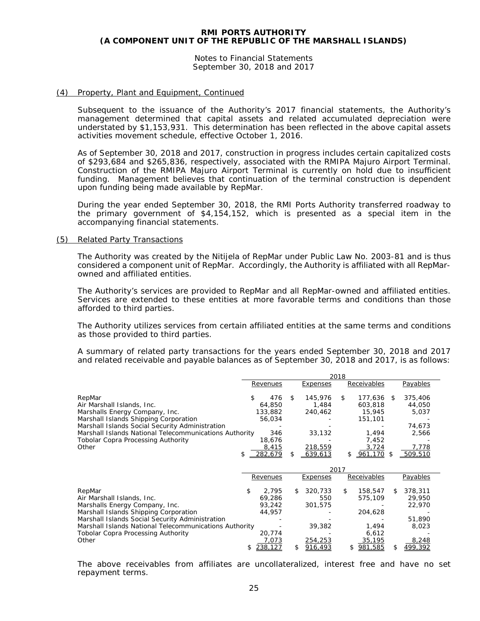Notes to Financial Statements September 30, 2018 and 2017

#### (4) Property, Plant and Equipment, Continued

Subsequent to the issuance of the Authority's 2017 financial statements, the Authority's management determined that capital assets and related accumulated depreciation were understated by \$1,153,931. This determination has been reflected in the above capital assets activities movement schedule, effective October 1, 2016.

As of September 30, 2018 and 2017, construction in progress includes certain capitalized costs of \$293,684 and \$265,836, respectively, associated with the RMIPA Majuro Airport Terminal. Construction of the RMIPA Majuro Airport Terminal is currently on hold due to insufficient funding. Management believes that continuation of the terminal construction is dependent upon funding being made available by RepMar.

During the year ended September 30, 2018, the RMI Ports Authority transferred roadway to the primary government of \$4,154,152, which is presented as a special item in the accompanying financial statements.

#### (5) Related Party Transactions

The Authority was created by the Nitijela of RepMar under Public Law No. 2003-81 and is thus considered a component unit of RepMar. Accordingly, the Authority is affiliated with all RepMarowned and affiliated entities.

The Authority's services are provided to RepMar and all RepMar-owned and affiliated entities. Services are extended to these entities at more favorable terms and conditions than those afforded to third parties.

The Authority utilizes services from certain affiliated entities at the same terms and conditions as those provided to third parties.

A summary of related party transactions for the years ended September 30, 2018 and 2017 and related receivable and payable balances as of September 30, 2018 and 2017, is as follows:

|                                                                                                                                                                                                                                                                                          |                                                                               |          |                                                             | 2018     |                                                                               |     |                                                                    |  |
|------------------------------------------------------------------------------------------------------------------------------------------------------------------------------------------------------------------------------------------------------------------------------------------|-------------------------------------------------------------------------------|----------|-------------------------------------------------------------|----------|-------------------------------------------------------------------------------|-----|--------------------------------------------------------------------|--|
|                                                                                                                                                                                                                                                                                          | <b>Revenues</b>                                                               |          | <b>Expenses</b>                                             |          | <b>Receivables</b>                                                            |     | <b>Payables</b>                                                    |  |
| RepMar<br>Air Marshall Islands, Inc.<br>Marshalls Energy Company, Inc.<br>Marshall Islands Shipping Corporation<br>Marshall Islands Social Security Administration<br>Marshall Islands National Telecommunications Authority<br><b>Tobolar Copra Processing Authority</b><br>Other<br>\$ | \$<br>476<br>64,850<br>133,882<br>56,034<br>346<br>18,676<br>8,415<br>282,679 | \$<br>\$ | 145,976<br>1,484<br>240,462<br>33,132<br>218,559<br>639.613 | \$<br>\$ | 177,636<br>603,818<br>15,945<br>151,101<br>1,494<br>7,452<br>3,724<br>961.170 | \$  | 375,406<br>44,050<br>5,037<br>74,673<br>2,566<br>7.778<br>509,510  |  |
|                                                                                                                                                                                                                                                                                          |                                                                               |          |                                                             | 2017     |                                                                               |     |                                                                    |  |
|                                                                                                                                                                                                                                                                                          | Revenues                                                                      |          | <b>Expenses</b>                                             |          | Receivables                                                                   |     | Payables                                                           |  |
| RepMar<br>Air Marshall Islands, Inc.<br>Marshalls Energy Company, Inc.<br>Marshall Islands Shipping Corporation<br>Marshall Islands Social Security Administration<br>Marshall Islands National Telecommunications Authority<br><b>Tobolar Copra Processing Authority</b><br>Other       | \$<br>2,795<br>69,286<br>93,242<br>44,957<br>20,774<br>7.073<br>238.127       | \$<br>\$ | 320,733<br>550<br>301,575<br>39,382<br>254,253<br>916.493   | \$<br>\$ | 158,547<br>575,109<br>204,628<br>1,494<br>6,612<br>35,195<br>981.585          | \$. | 378,311<br>29,950<br>22,970<br>51,890<br>8,023<br>8,248<br>499.392 |  |

The above receivables from affiliates are uncollateralized, interest free and have no set repayment terms.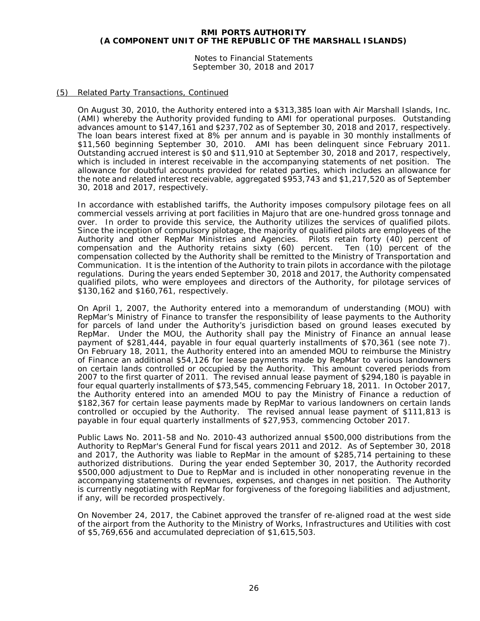Notes to Financial Statements September 30, 2018 and 2017

#### (5) Related Party Transactions, Continued

On August 30, 2010, the Authority entered into a \$313,385 loan with Air Marshall Islands, Inc. (AMI) whereby the Authority provided funding to AMI for operational purposes. Outstanding advances amount to \$147,161 and \$237,702 as of September 30, 2018 and 2017, respectively. The loan bears interest fixed at 8% per annum and is payable in 30 monthly installments of \$11,560 beginning September 30, 2010. AMI has been delinquent since February 2011. Outstanding accrued interest is \$0 and \$11,910 at September 30, 2018 and 2017, respectively, which is included in interest receivable in the accompanying statements of net position. The allowance for doubtful accounts provided for related parties, which includes an allowance for the note and related interest receivable, aggregated \$953,743 and \$1,217,520 as of September 30, 2018 and 2017, respectively.

In accordance with established tariffs, the Authority imposes compulsory pilotage fees on all commercial vessels arriving at port facilities in Majuro that are one-hundred gross tonnage and over. In order to provide this service, the Authority utilizes the services of qualified pilots. Since the inception of compulsory pilotage, the majority of qualified pilots are employees of the Authority and other RepMar Ministries and Agencies. Pilots retain forty (40) percent of compensation and the Authority retains sixty (60) percent. Ten (10) percent of the compensation collected by the Authority shall be remitted to the Ministry of Transportation and Communication. It is the intention of the Authority to train pilots in accordance with the pilotage regulations. During the years ended September 30, 2018 and 2017, the Authority compensated qualified pilots, who were employees and directors of the Authority, for pilotage services of \$130,162 and \$160,761, respectively.

On April 1, 2007, the Authority entered into a memorandum of understanding (MOU) with RepMar's Ministry of Finance to transfer the responsibility of lease payments to the Authority for parcels of land under the Authority's jurisdiction based on ground leases executed by RepMar. Under the MOU, the Authority shall pay the Ministry of Finance an annual lease payment of \$281,444, payable in four equal quarterly installments of \$70,361 (see note 7). On February 18, 2011, the Authority entered into an amended MOU to reimburse the Ministry of Finance an additional \$54,126 for lease payments made by RepMar to various landowners on certain lands controlled or occupied by the Authority. This amount covered periods from 2007 to the first quarter of 2011. The revised annual lease payment of \$294,180 is payable in four equal quarterly installments of \$73,545, commencing February 18, 2011. In October 2017, the Authority entered into an amended MOU to pay the Ministry of Finance a reduction of \$182,367 for certain lease payments made by RepMar to various landowners on certain lands controlled or occupied by the Authority. The revised annual lease payment of \$111,813 is payable in four equal quarterly installments of \$27,953, commencing October 2017.

Public Laws No. 2011-58 and No. 2010-43 authorized annual \$500,000 distributions from the Authority to RepMar's General Fund for fiscal years 2011 and 2012. As of September 30, 2018 and 2017, the Authority was liable to RepMar in the amount of \$285,714 pertaining to these authorized distributions. During the year ended September 30, 2017, the Authority recorded \$500,000 adjustment to Due to RepMar and is included in other nonoperating revenue in the accompanying statements of revenues, expenses, and changes in net position. The Authority is currently negotiating with RepMar for forgiveness of the foregoing liabilities and adjustment, if any, will be recorded prospectively.

On November 24, 2017, the Cabinet approved the transfer of re-aligned road at the west side of the airport from the Authority to the Ministry of Works, Infrastructures and Utilities with cost of \$5,769,656 and accumulated depreciation of \$1,615,503.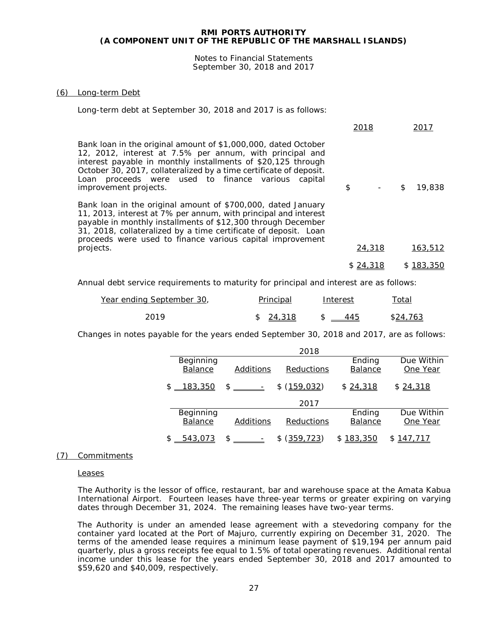Notes to Financial Statements September 30, 2018 and 2017

#### (6) Long-term Debt

Long-term debt at September 30, 2018 and 2017 is as follows:

|                                                                                                                                                                                                                                                                                                                                                 | 2018     |         |
|-------------------------------------------------------------------------------------------------------------------------------------------------------------------------------------------------------------------------------------------------------------------------------------------------------------------------------------------------|----------|---------|
| Bank loan in the original amount of \$1,000,000, dated October<br>12, 2012, interest at 7.5% per annum, with principal and<br>interest payable in monthly installments of \$20,125 through<br>October 30, 2017, collateralized by a time certificate of deposit.<br>Loan proceeds were used to finance various capital<br>improvement projects. | \$       | 19,838  |
| Bank loan in the original amount of \$700,000, dated January<br>11, 2013, interest at 7% per annum, with principal and interest<br>payable in monthly installments of \$12,300 through December<br>31, 2018, collateralized by a time certificate of deposit. Loan<br>proceeds were used to finance various capital improvement                 |          |         |
| projects.                                                                                                                                                                                                                                                                                                                                       | 24,318   | 163,512 |
|                                                                                                                                                                                                                                                                                                                                                 | \$24.315 | 183.350 |

Annual debt service requirements to maturity for principal and interest are as follows:

| Year ending September 30, | <b>Principal</b> | Interest | Total    |
|---------------------------|------------------|----------|----------|
| 2019                      | \$ 24,318        | 445      | \$24,763 |

Changes in notes payable for the years ended September 30, 2018 and 2017, are as follows:

|                      |               | 2018            |                   |                        |
|----------------------|---------------|-----------------|-------------------|------------------------|
| Beginning<br>Balance | Additions     | Reductions      | Ending<br>Balance | Due Within<br>One Year |
| $$ -183,350$         | $\sim$ $\sim$ | (159, 032)<br>S | \$24,318          | \$24,318               |
|                      |               | 2017            |                   |                        |
| Beginning<br>Balance | Additions     | Reductions      | Ending<br>Balance | Due Within<br>One Year |
| \$<br>543,073        | \$            | (359, 723)      | \$183,350         | \$147,717              |

#### (7) Commitments

#### Leases

The Authority is the lessor of office, restaurant, bar and warehouse space at the Amata Kabua International Airport. Fourteen leases have three-year terms or greater expiring on varying dates through December 31, 2024. The remaining leases have two-year terms.

The Authority is under an amended lease agreement with a stevedoring company for the container yard located at the Port of Majuro, currently expiring on December 31, 2020. The terms of the amended lease requires a minimum lease payment of \$19,194 per annum paid quarterly, plus a gross receipts fee equal to 1.5% of total operating revenues. Additional rental income under this lease for the years ended September 30, 2018 and 2017 amounted to \$59,620 and \$40,009, respectively.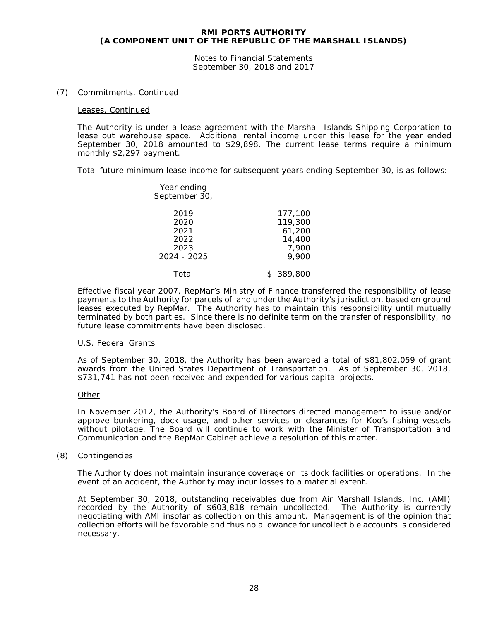Notes to Financial Statements September 30, 2018 and 2017

#### (7) Commitments, Continued

#### Leases, Continued

The Authority is under a lease agreement with the Marshall Islands Shipping Corporation to lease out warehouse space. Additional rental income under this lease for the year ended September 30, 2018 amounted to \$29,898. The current lease terms require a minimum monthly \$2,297 payment.

Total future minimum lease income for subsequent years ending September 30, is as follows:

| Year ending<br>September 30,                        |                                                          |
|-----------------------------------------------------|----------------------------------------------------------|
| 2019<br>2020<br>2021<br>2022<br>2023<br>2024 - 2025 | 177,100<br>119,300<br>61,200<br>14,400<br>7,900<br>9.900 |
| Total                                               |                                                          |

Effective fiscal year 2007, RepMar's Ministry of Finance transferred the responsibility of lease payments to the Authority for parcels of land under the Authority's jurisdiction, based on ground leases executed by RepMar. The Authority has to maintain this responsibility until mutually terminated by both parties. Since there is no definite term on the transfer of responsibility, no future lease commitments have been disclosed.

#### U.S. Federal Grants

As of September 30, 2018, the Authority has been awarded a total of \$81,802,059 of grant awards from the United States Department of Transportation. As of September 30, 2018, \$731,741 has not been received and expended for various capital projects.

#### **Other**

In November 2012, the Authority's Board of Directors directed management to issue and/or approve bunkering, dock usage, and other services or clearances for Koo's fishing vessels without pilotage. The Board will continue to work with the Minister of Transportation and Communication and the RepMar Cabinet achieve a resolution of this matter.

#### (8) Contingencies

The Authority does not maintain insurance coverage on its dock facilities or operations. In the event of an accident, the Authority may incur losses to a material extent.

At September 30, 2018, outstanding receivables due from Air Marshall Islands, Inc. (AMI) recorded by the Authority of \$603,818 remain uncollected. The Authority is currently negotiating with AMI insofar as collection on this amount. Management is of the opinion that collection efforts will be favorable and thus no allowance for uncollectible accounts is considered necessary.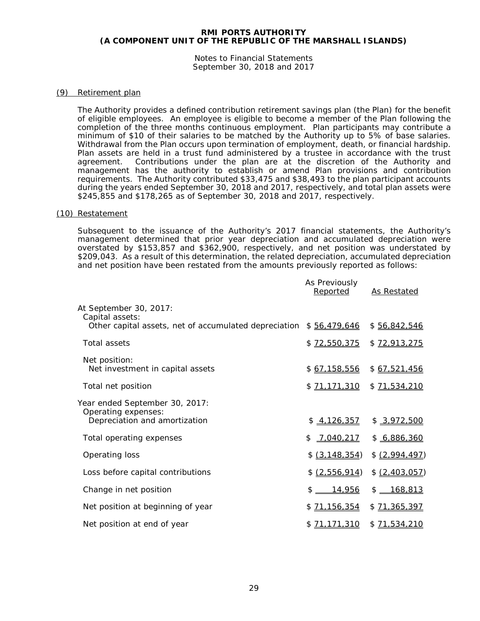Notes to Financial Statements September 30, 2018 and 2017

#### (9) Retirement plan

The Authority provides a defined contribution retirement savings plan (the Plan) for the benefit of eligible employees. An employee is eligible to become a member of the Plan following the completion of the three months continuous employment. Plan participants may contribute a minimum of \$10 of their salaries to be matched by the Authority up to 5% of base salaries. Withdrawal from the Plan occurs upon termination of employment, death, or financial hardship. Plan assets are held in a trust fund administered by a trustee in accordance with the trust agreement. Contributions under the plan are at the discretion of the Authority and management has the authority to establish or amend Plan provisions and contribution requirements. The Authority contributed \$33,475 and \$38,493 to the plan participant accounts during the years ended September 30, 2018 and 2017, respectively, and total plan assets were \$245,855 and \$178,265 as of September 30, 2018 and 2017, respectively.

#### (10) Restatement

Subsequent to the issuance of the Authority's 2017 financial statements, the Authority's management determined that prior year depreciation and accumulated depreciation were overstated by \$153,857 and \$362,900, respectively, and net position was understated by \$209,043. As a result of this determination, the related depreciation, accumulated depreciation and net position have been restated from the amounts previously reported as follows:

As Previously

|                                                                    | AS PIEVIUUSIV<br>Reported | <b>As Restated</b> |
|--------------------------------------------------------------------|---------------------------|--------------------|
| At September 30, 2017:<br>Capital assets:                          |                           |                    |
| Other capital assets, net of accumulated depreciation \$56,479,646 |                           | \$56,842,546       |
| Total assets                                                       | \$ 72,550,375             | \$72,913,275       |
| Net position:<br>Net investment in capital assets                  | \$67,158,556              | \$67,521,456       |
| Total net position                                                 | \$ 71,171,310             | \$71,534,210       |
| Year ended September 30, 2017:<br>Operating expenses:              |                           |                    |
| Depreciation and amortization                                      | \$4,126,357               | \$3,972,500        |
| Total operating expenses                                           | \$ 7,040,217              | \$6,886,360        |
| Operating loss                                                     | \$(3,148,354)             | \$ (2,994,497)     |
| Loss before capital contributions                                  | \$ (2,556,914)            | \$ (2,403,057)     |
| Change in net position                                             | $$ -14,956$               | $$ -168,813$       |
| Net position at beginning of year                                  | \$ 71,156,354             | \$71,365,397       |
| Net position at end of year                                        | \$ 71,171,310             | \$71,534,210       |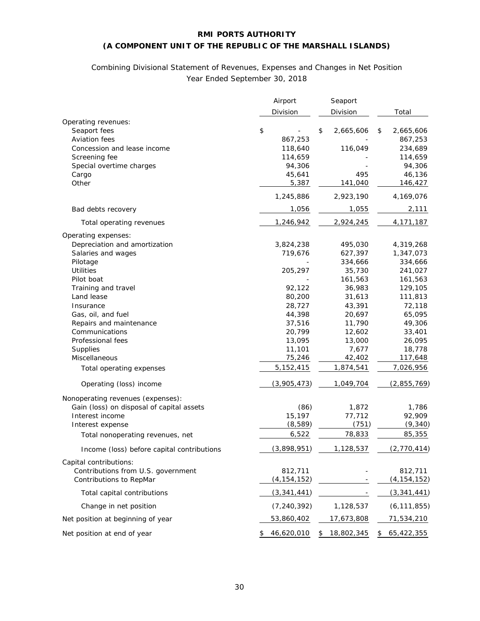#### Combining Divisional Statement of Revenues, Expenses and Changes in Net Position Year Ended September 30, 2018

|                                            | Airport<br>Division | Seaport<br>Division | Total            |
|--------------------------------------------|---------------------|---------------------|------------------|
| Operating revenues:                        |                     |                     |                  |
| Seaport fees                               | \$                  | \$<br>2,665,606     | \$<br>2,665,606  |
| <b>Aviation fees</b>                       | 867,253             |                     | 867,253          |
| Concession and lease income                | 118,640             | 116,049             | 234,689          |
| Screening fee                              | 114,659             |                     | 114,659          |
| Special overtime charges                   | 94,306              |                     | 94,306           |
| Cargo                                      | 45,641              | 495                 | 46,136           |
| Other                                      | 5,387               | 141,040             | 146,427          |
|                                            | 1,245,886           | 2,923,190           | 4,169,076        |
| Bad debts recovery                         | 1,056               | <u>1,055</u>        | 2,111            |
| Total operating revenues                   | 1,246,942           | 2,924,245           | 4,171,187        |
| Operating expenses:                        |                     |                     |                  |
| Depreciation and amortization              | 3,824,238           | 495,030             | 4,319,268        |
| Salaries and wages                         | 719,676             | 627,397             | 1,347,073        |
| Pilotage                                   |                     | 334,666             | 334,666          |
| <b>Utilities</b>                           | 205,297             | 35,730              | 241,027          |
| Pilot boat                                 |                     | 161,563             | 161,563          |
| Training and travel                        | 92,122              | 36,983              | 129,105          |
| Land lease                                 | 80,200              | 31,613              | 111,813          |
| Insurance                                  | 28,727              | 43,391              | 72,118           |
| Gas, oil, and fuel                         | 44,398              | 20,697              | 65,095           |
| Repairs and maintenance                    | 37,516              | 11,790              | 49,306           |
| Communications                             | 20,799              | 12,602              | 33,401           |
| Professional fees                          | 13,095              | 13,000              | 26,095           |
| Supplies                                   | 11,101              | 7,677               | 18,778           |
| Miscellaneous                              | 75,246              | 42,402              | 117,648          |
| Total operating expenses                   | 5,152,415           | 1,874,541           | 7,026,956        |
| Operating (loss) income                    | (3,905,473)         | 1,049,704           | (2,855,769)      |
| Nonoperating revenues (expenses):          |                     |                     |                  |
| Gain (loss) on disposal of capital assets  | (86)                | 1,872               | 1,786            |
| Interest income                            | 15,197              | 77,712              | 92,909           |
| Interest expense                           | (8, 589)            | (751)               | (9, 340)         |
| Total nonoperating revenues, net           | 6,522               | 78,833              | 85,355           |
| Income (loss) before capital contributions | (3,898,951)         | 1,128,537           | (2,770,414)      |
| Capital contributions:                     |                     |                     |                  |
| Contributions from U.S. government         | 812,711             |                     | 812,711          |
| Contributions to RepMar                    | (4, 154, 152)       |                     | (4, 154, 152)    |
| Total capital contributions                | (3,341,441)         |                     | (3,341,441)      |
| Change in net position                     | (7, 240, 392)       | 1,128,537           | (6, 111, 855)    |
| Net position at beginning of year          | 53,860,402          | 17,673,808          | 71,534,210       |
| Net position at end of year                | 46,620,010<br>\$    | 18,802,345<br>\$    | 65,422,355<br>\$ |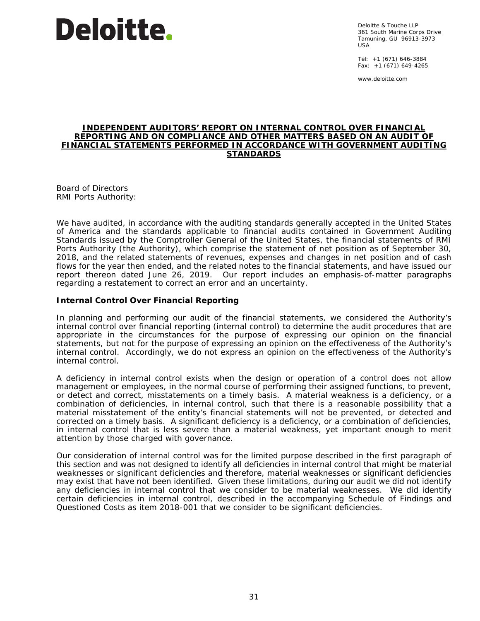Deloitte & Touche LLP 361 South Marine Corps Drive Tamuning, GU 96913-3973 USA

Tel: +1 (671) 646-3884 Fax: +1 (671) 649-4265

www.deloitte.com

#### **INDEPENDENT AUDITORS' REPORT ON INTERNAL CONTROL OVER FINANCIAL REPORTING AND ON COMPLIANCE AND OTHER MATTERS BASED ON AN AUDIT OF FINANCIAL STATEMENTS PERFORMED IN ACCORDANCE WITH** *GOVERNMENT AUDITING STANDARDS*

Board of Directors RMI Ports Authority:

We have audited, in accordance with the auditing standards generally accepted in the United States of America and the standards applicable to financial audits contained in *Government Auditing Standards* issued by the Comptroller General of the United States, the financial statements of RMI Ports Authority (the Authority), which comprise the statement of net position as of September 30, 2018, and the related statements of revenues, expenses and changes in net position and of cash flows for the year then ended, and the related notes to the financial statements, and have issued our report thereon dated June 26, 2019. Our report includes an emphasis-of-matter paragraphs regarding a restatement to correct an error and an uncertainty.

#### **Internal Control Over Financial Reporting**

In planning and performing our audit of the financial statements, we considered the Authority's internal control over financial reporting (internal control) to determine the audit procedures that are appropriate in the circumstances for the purpose of expressing our opinion on the financial statements, but not for the purpose of expressing an opinion on the effectiveness of the Authority's internal control. Accordingly, we do not express an opinion on the effectiveness of the Authority's internal control.

A *deficiency in internal control* exists when the design or operation of a control does not allow management or employees, in the normal course of performing their assigned functions, to prevent, or detect and correct, misstatements on a timely basis. A *material weakness* is a deficiency, or a combination of deficiencies, in internal control, such that there is a reasonable possibility that a material misstatement of the entity's financial statements will not be prevented, or detected and corrected on a timely basis. A *significant deficiency* is a deficiency, or a combination of deficiencies, in internal control that is less severe than a material weakness, yet important enough to merit attention by those charged with governance.

Our consideration of internal control was for the limited purpose described in the first paragraph of this section and was not designed to identify all deficiencies in internal control that might be material weaknesses or significant deficiencies and therefore, material weaknesses or significant deficiencies may exist that have not been identified. Given these limitations, during our audit we did not identify any deficiencies in internal control that we consider to be material weaknesses. We did identify certain deficiencies in internal control, described in the accompanying Schedule of Findings and Questioned Costs as item 2018-001 that we consider to be significant deficiencies.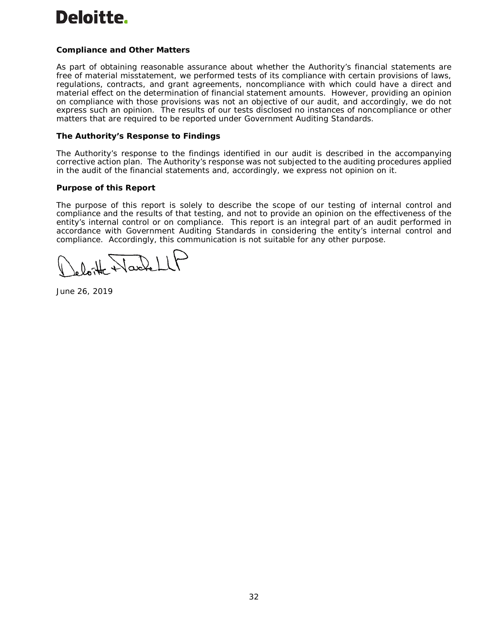#### **Compliance and Other Matters**

As part of obtaining reasonable assurance about whether the Authority's financial statements are free of material misstatement, we performed tests of its compliance with certain provisions of laws, regulations, contracts, and grant agreements, noncompliance with which could have a direct and material effect on the determination of financial statement amounts. However, providing an opinion on compliance with those provisions was not an objective of our audit, and accordingly, we do not express such an opinion. The results of our tests disclosed no instances of noncompliance or other matters that are required to be reported under *Government Auditing Standards*.

#### **The Authority's Response to Findings**

The Authority's response to the findings identified in our audit is described in the accompanying corrective action plan. The Authority's response was not subjected to the auditing procedures applied in the audit of the financial statements and, accordingly, we express not opinion on it.

#### **Purpose of this Report**

The purpose of this report is solely to describe the scope of our testing of internal control and compliance and the results of that testing, and not to provide an opinion on the effectiveness of the entity's internal control or on compliance. This report is an integral part of an audit performed in accordance with *Government Auditing Standards* in considering the entity's internal control and compliance. Accordingly, this communication is not suitable for any other purpose.

 $\pm$  Nackel

June 26, 2019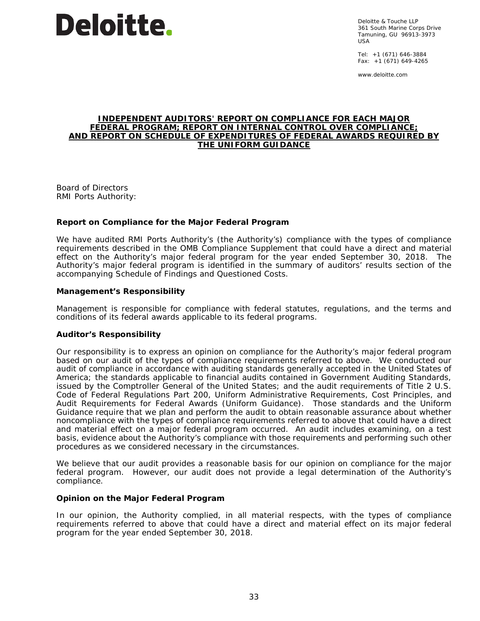

Deloitte & Touche LLP 361 South Marine Corps Drive Tamuning, GU 96913-3973 USA

Tel: +1 (671) 646-3884 Fax: +1 (671) 649-4265

www.deloitte.com

#### **INDEPENDENT AUDITORS' REPORT ON COMPLIANCE FOR EACH MAJOR FEDERAL PROGRAM; REPORT ON INTERNAL CONTROL OVER COMPLIANCE; AND REPORT ON SCHEDULE OF EXPENDITURES OF FEDERAL AWARDS REQUIRED BY THE UNIFORM GUIDANCE**

Board of Directors RMI Ports Authority:

#### **Report on Compliance for the Major Federal Program**

We have audited RMI Ports Authority's (the Authority's) compliance with the types of compliance requirements described in the *OMB Compliance Supplement* that could have a direct and material effect on the Authority's major federal program for the year ended September 30, 2018. The Authority's major federal program is identified in the summary of auditors' results section of the accompanying Schedule of Findings and Questioned Costs.

#### *Management's Responsibility*

Management is responsible for compliance with federal statutes, regulations, and the terms and conditions of its federal awards applicable to its federal programs.

#### *Auditor's Responsibility*

Our responsibility is to express an opinion on compliance for the Authority's major federal program based on our audit of the types of compliance requirements referred to above. We conducted our audit of compliance in accordance with auditing standards generally accepted in the United States of America; the standards applicable to financial audits contained in *Government Auditing Standards*, issued by the Comptroller General of the United States; and the audit requirements of Title 2 U.S. *Code of Federal Regulations* Part 200, *Uniform Administrative Requirements, Cost Principles, and Audit Requirements for Federal Awards* (Uniform Guidance). Those standards and the Uniform Guidance require that we plan and perform the audit to obtain reasonable assurance about whether noncompliance with the types of compliance requirements referred to above that could have a direct and material effect on a major federal program occurred. An audit includes examining, on a test basis, evidence about the Authority's compliance with those requirements and performing such other procedures as we considered necessary in the circumstances.

We believe that our audit provides a reasonable basis for our opinion on compliance for the major federal program. However, our audit does not provide a legal determination of the Authority's compliance.

#### *Opinion on the Major Federal Program*

In our opinion, the Authority complied, in all material respects, with the types of compliance requirements referred to above that could have a direct and material effect on its major federal program for the year ended September 30, 2018.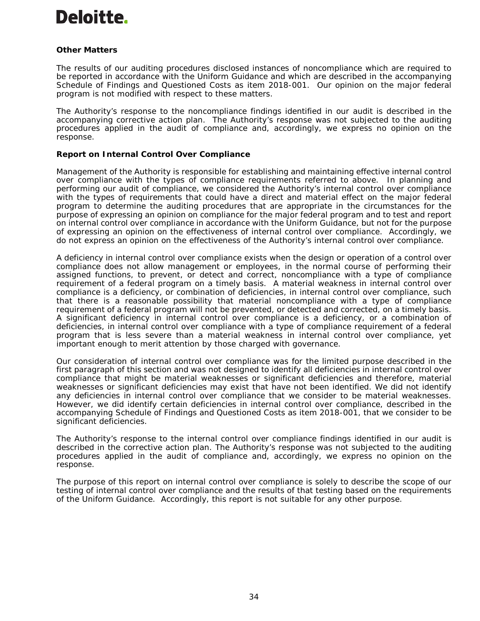#### **Other Matters**

The results of our auditing procedures disclosed instances of noncompliance which are required to be reported in accordance with the Uniform Guidance and which are described in the accompanying Schedule of Findings and Questioned Costs as item 2018-001. Our opinion on the major federal program is not modified with respect to these matters.

The Authority's response to the noncompliance findings identified in our audit is described in the accompanying corrective action plan. The Authority's response was not subjected to the auditing procedures applied in the audit of compliance and, accordingly, we express no opinion on the response.

#### **Report on Internal Control Over Compliance**

Management of the Authority is responsible for establishing and maintaining effective internal control over compliance with the types of compliance requirements referred to above. In planning and performing our audit of compliance, we considered the Authority's internal control over compliance with the types of requirements that could have a direct and material effect on the major federal program to determine the auditing procedures that are appropriate in the circumstances for the purpose of expressing an opinion on compliance for the major federal program and to test and report on internal control over compliance in accordance with the Uniform Guidance, but not for the purpose of expressing an opinion on the effectiveness of internal control over compliance. Accordingly, we do not express an opinion on the effectiveness of the Authority's internal control over compliance.

A *deficiency in internal control over compliance* exists when the design or operation of a control over compliance does not allow management or employees, in the normal course of performing their assigned functions, to prevent, or detect and correct, noncompliance with a type of compliance requirement of a federal program on a timely basis. A *material weakness in internal control over compliance* is a deficiency, or combination of deficiencies, in internal control over compliance, such that there is a reasonable possibility that material noncompliance with a type of compliance requirement of a federal program will not be prevented, or detected and corrected, on a timely basis. A *significant deficiency in internal control over compliance* is a deficiency, or a combination of deficiencies, in internal control over compliance with a type of compliance requirement of a federal program that is less severe than a material weakness in internal control over compliance, yet important enough to merit attention by those charged with governance.

Our consideration of internal control over compliance was for the limited purpose described in the first paragraph of this section and was not designed to identify all deficiencies in internal control over compliance that might be material weaknesses or significant deficiencies and therefore, material weaknesses or significant deficiencies may exist that have not been identified. We did not identify any deficiencies in internal control over compliance that we consider to be material weaknesses. However, we did identify certain deficiencies in internal control over compliance, described in the accompanying Schedule of Findings and Questioned Costs as item 2018-001, that we consider to be significant deficiencies.

The Authority's response to the internal control over compliance findings identified in our audit is described in the corrective action plan. The Authority's response was not subjected to the auditing procedures applied in the audit of compliance and, accordingly, we express no opinion on the response.

The purpose of this report on internal control over compliance is solely to describe the scope of our testing of internal control over compliance and the results of that testing based on the requirements of the Uniform Guidance. Accordingly, this report is not suitable for any other purpose.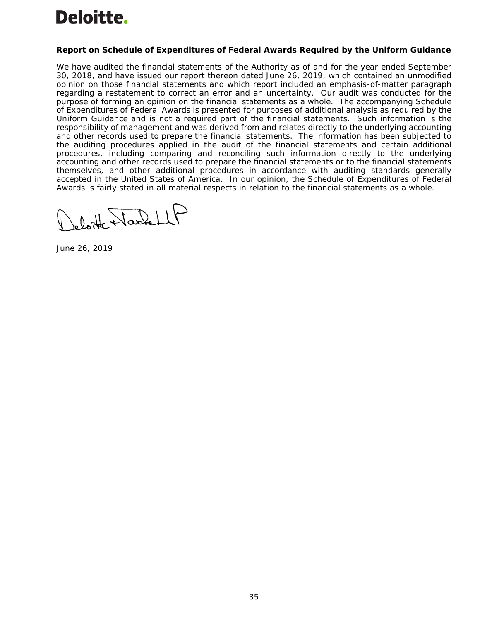#### **Report on Schedule of Expenditures of Federal Awards Required by the Uniform Guidance**

We have audited the financial statements of the Authority as of and for the year ended September 30, 2018, and have issued our report thereon dated June 26, 2019, which contained an unmodified opinion on those financial statements and which report included an emphasis-of-matter paragraph regarding a restatement to correct an error and an uncertainty. Our audit was conducted for the purpose of forming an opinion on the financial statements as a whole. The accompanying Schedule of Expenditures of Federal Awards is presented for purposes of additional analysis as required by the Uniform Guidance and is not a required part of the financial statements. Such information is the responsibility of management and was derived from and relates directly to the underlying accounting and other records used to prepare the financial statements. The information has been subjected to the auditing procedures applied in the audit of the financial statements and certain additional procedures, including comparing and reconciling such information directly to the underlying accounting and other records used to prepare the financial statements or to the financial statements themselves, and other additional procedures in accordance with auditing standards generally accepted in the United States of America. In our opinion, the Schedule of Expenditures of Federal Awards is fairly stated in all material respects in relation to the financial statements as a whole.

loite Harlett

June 26, 2019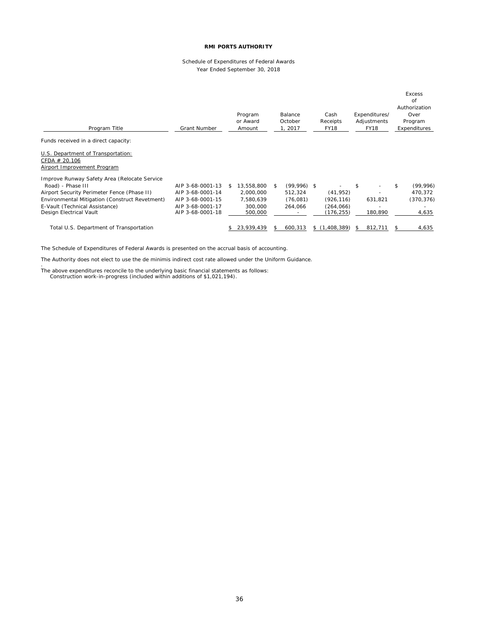#### **RMI PORTS AUTHORITY**

#### Schedule of Expenditures of Federal Awards Year Ended September 30, 2018

| Program Title                                  | <b>Grant Number</b> |    | Program<br>or Award<br>Amount | Balance<br>October<br>1, 2017 | Cash<br>Receipts<br><b>FY18</b> |    | Expenditures/<br>Adjustments<br><b>FY18</b> |    | <b>Excess</b><br>of<br>Authorization<br>Over<br>Program<br>Expenditures |
|------------------------------------------------|---------------------|----|-------------------------------|-------------------------------|---------------------------------|----|---------------------------------------------|----|-------------------------------------------------------------------------|
| Funds received in a direct capacity:           |                     |    |                               |                               |                                 |    |                                             |    |                                                                         |
| U.S. Department of Transportation:             |                     |    |                               |                               |                                 |    |                                             |    |                                                                         |
| CFDA $# 20.106$                                |                     |    |                               |                               |                                 |    |                                             |    |                                                                         |
| <b>Airport Improvement Program</b>             |                     |    |                               |                               |                                 |    |                                             |    |                                                                         |
| Improve Runway Safety Area (Relocate Service   |                     |    |                               |                               |                                 |    |                                             |    |                                                                         |
| Road) - Phase III                              | AIP 3-68-0001-13    | S. | 13,558,800                    | \$<br>$(99.996)$ \$           |                                 |    |                                             | \$ | (99, 996)                                                               |
| Airport Security Perimeter Fence (Phase II)    | AIP 3-68-0001-14    |    | 2.000.000                     | 512,324                       | (41, 952)                       |    |                                             |    | 470,372                                                                 |
| Environmental Mitigation (Construct Revetment) | AIP 3-68-0001-15    |    | 7,580,639                     | (76,081)                      | (926, 116)                      |    | 631,821                                     |    | (370, 376)                                                              |
| E-Vault (Technical Assistance)                 | AIP 3-68-0001-17    |    | 300,000                       | 264,066                       | (264, 066)                      |    |                                             |    |                                                                         |
| Design Electrical Vault                        | AIP 3-68-0001-18    |    | 500,000                       |                               | (176,255)                       |    | 180,890                                     |    | 4,635                                                                   |
| Total U.S. Department of Transportation        |                     |    | 23,939,439                    | 600,313                       | \$(1,408,389)                   | S. | 812,711                                     | S  | 4,635                                                                   |

The Schedule of Expenditures of Federal Awards is presented on the accrual basis of accounting.

The Authority does not elect to use the de minimis indirect cost rate allowed under the Uniform Guidance.

. The above expenditures reconcile to the underlying basic financial statements as follows: Construction work-in-progress (included within additions of \$1,021,194).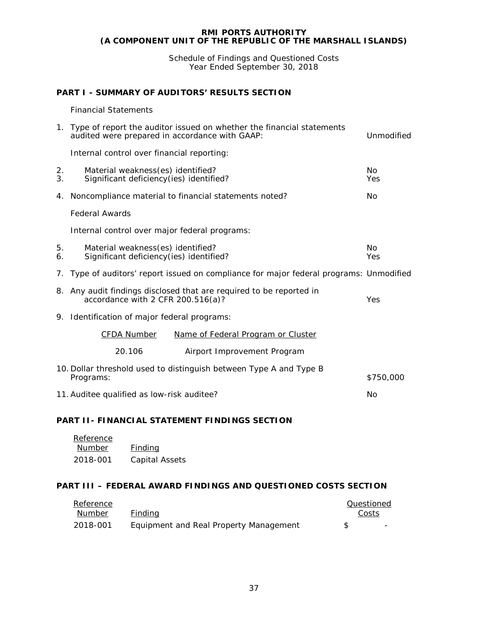Schedule of Findings and Questioned Costs Year Ended September 30, 2018

#### **PART I - SUMMARY OF AUDITORS' RESULTS SECTION**

#### *Financial Statements*

|                                                                                          | 1. Type of report the auditor issued on whether the financial statements<br>audited were prepared in accordance with GAAP: |           |  |  |  |
|------------------------------------------------------------------------------------------|----------------------------------------------------------------------------------------------------------------------------|-----------|--|--|--|
|                                                                                          | Internal control over financial reporting:                                                                                 |           |  |  |  |
| 2.<br>3.                                                                                 | Material weakness(es) identified?<br>Significant deficiency(ies) identified?                                               | No<br>Yes |  |  |  |
| 4.                                                                                       | Noncompliance material to financial statements noted?                                                                      | No        |  |  |  |
|                                                                                          | <b>Federal Awards</b>                                                                                                      |           |  |  |  |
|                                                                                          | Internal control over major federal programs:                                                                              |           |  |  |  |
| Material weakness(es) identified?<br>5.<br>Significant deficiency(ies) identified?<br>6. |                                                                                                                            |           |  |  |  |
| 7.                                                                                       | Type of auditors' report issued on compliance for major federal programs: Unmodified                                       |           |  |  |  |
|                                                                                          | 8. Any audit findings disclosed that are required to be reported in<br>accordance with 2 CFR 200.516(a)?<br>Yes            |           |  |  |  |
|                                                                                          | 9. Identification of major federal programs:                                                                               |           |  |  |  |
|                                                                                          | CFDA Number<br>Name of Federal Program or Cluster                                                                          |           |  |  |  |
|                                                                                          | 20.106<br>Airport Improvement Program                                                                                      |           |  |  |  |
|                                                                                          | 10. Dollar threshold used to distinguish between Type A and Type B<br>Programs:                                            | \$750,000 |  |  |  |
| 11. Auditee qualified as low-risk auditee?<br>No                                         |                                                                                                                            |           |  |  |  |

#### **PART II- FINANCIAL STATEMENT FINDINGS SECTION**

| Reference |                |
|-----------|----------------|
| Number    | <b>Finding</b> |
| 2018-001  | Capital Assets |

#### **PART III – FEDERAL AWARD FINDINGS AND QUESTIONED COSTS SECTION**

| Reference |                                        | Questioned |  |
|-----------|----------------------------------------|------------|--|
| Number    | <u>Finding</u>                         | Costs      |  |
| 2018-001  | Equipment and Real Property Management |            |  |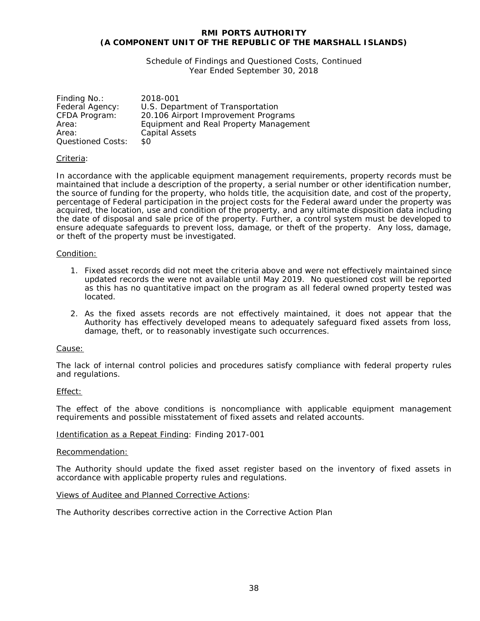Schedule of Findings and Questioned Costs, Continued Year Ended September 30, 2018

| Finding No.:      | 2018-001                               |
|-------------------|----------------------------------------|
| Federal Agency:   | U.S. Department of Transportation      |
| CFDA Program:     | 20.106 Airport Improvement Programs    |
| Area:             | Equipment and Real Property Management |
| Area:             | Capital Assets                         |
| Questioned Costs: | \$0                                    |

#### Criteria:

In accordance with the applicable equipment management requirements, property records must be maintained that include a description of the property, a serial number or other identification number, the source of funding for the property, who holds title, the acquisition date, and cost of the property, percentage of Federal participation in the project costs for the Federal award under the property was acquired, the location, use and condition of the property, and any ultimate disposition data including the date of disposal and sale price of the property. Further, a control system must be developed to ensure adequate safeguards to prevent loss, damage, or theft of the property. Any loss, damage, or theft of the property must be investigated.

#### Condition:

- 1. Fixed asset records did not meet the criteria above and were not effectively maintained since updated records the were not available until May 2019. No questioned cost will be reported as this has no quantitative impact on the program as all federal owned property tested was located.
- 2. As the fixed assets records are not effectively maintained, it does not appear that the Authority has effectively developed means to adequately safeguard fixed assets from loss, damage, theft, or to reasonably investigate such occurrences.

#### Cause:

The lack of internal control policies and procedures satisfy compliance with federal property rules and regulations.

#### Effect:

The effect of the above conditions is noncompliance with applicable equipment management requirements and possible misstatement of fixed assets and related accounts.

#### Identification as a Repeat Finding: Finding 2017-001

#### Recommendation:

The Authority should update the fixed asset register based on the inventory of fixed assets in accordance with applicable property rules and regulations.

#### Views of Auditee and Planned Corrective Actions:

The Authority describes corrective action in the Corrective Action Plan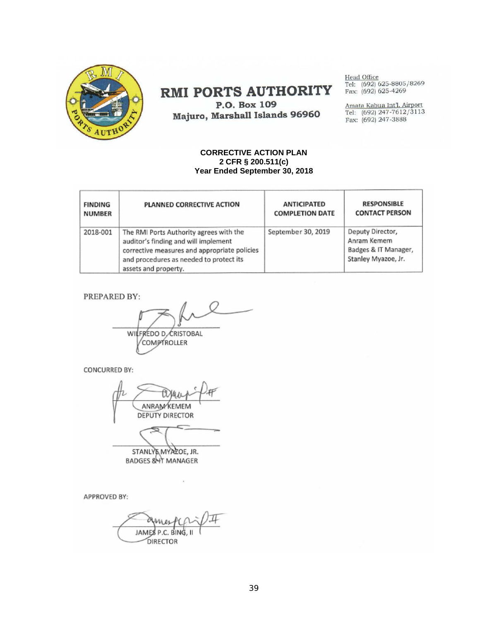

### **RMI PORTS AUTHORITY**

P.O. Box 109 **Majuro, Marshall Islands 96960**  Head Office<br>Tel: (692) 625-8805/8269<br>Fax: (692) 625-4269

Amata Kabua Int'l. Airport<br>Tel: (692) 247-7612/3113<br>Fax: (692) 247-3888

#### **CORRECTIVE ACTION PLAN 2 CFR § 200.511(c) Year Ended September 30, 2018**

| <b>FINDING</b> | PLANNED CORRECTIVE ACTION                                                                                                                                                                          | <b>ANTICIPATED</b>     | <b>RESPONSIBLE</b>                                                             |
|----------------|----------------------------------------------------------------------------------------------------------------------------------------------------------------------------------------------------|------------------------|--------------------------------------------------------------------------------|
| <b>NUMBER</b>  |                                                                                                                                                                                                    | <b>COMPLETION DATE</b> | <b>CONTACT PERSON</b>                                                          |
| 2018-001       | The RMI Ports Authority agrees with the<br>auditor's finding and will implement<br>corrective measures and appropriate policies<br>and procedures as needed to protect its<br>assets and property. | September 30, 2019     | Deputy Director,<br>Anram Kemem<br>Badges & IT Manager,<br>Stanley Myazoe, Jr. |

#### PREPARED BY:

0 WILFREDO D, CRISTOBAL **COMPTROLLER** 

CONCURRED BY:

ANRAM KEMEM **DEPUTY DIRECTOR** 

STANLYAMYAZOE, JR. **BADGES & HT MANAGER** 

APPROVED BY:

mer JAMES P.C. BING, II DIRECTOR